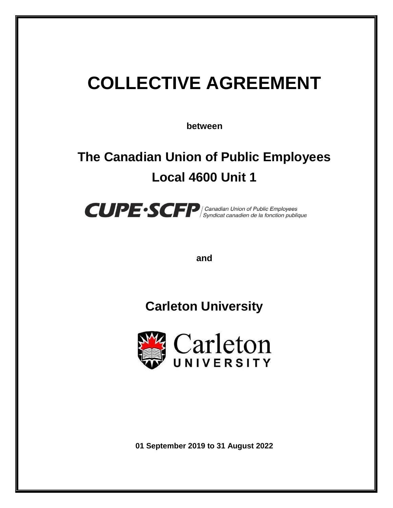# **COLLECTIVE AGREEMENT**

**between**

## **The Canadian Union of Public Employees Local 4600 Unit 1**



**and**

**Carleton University**



**01 September 2019 to 31 August 2022**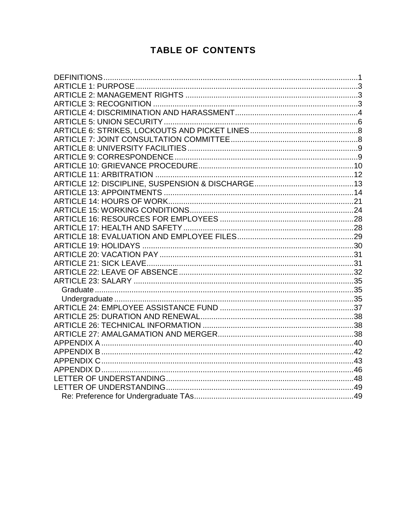## **TABLE OF CONTENTS**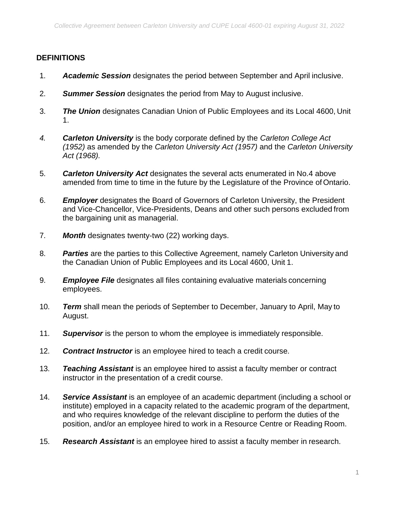#### <span id="page-2-0"></span>**DEFINITIONS**

- 1. *Academic Session* designates the period between September and April inclusive.
- 2. *Summer Session* designates the period from May to August inclusive.
- 3. *The Union* designates Canadian Union of Public Employees and its Local 4600, Unit 1.
- *4. Carleton University* is the body corporate defined by the *Carleton College Act (1952)* as amended by the *Carleton University Act (1957)* and the *Carleton University Act (1968).*
- 5. *Carleton University Act* designates the several acts enumerated in No.4 above amended from time to time in the future by the Legislature of the Province of Ontario.
- 6. *Employer* designates the Board of Governors of Carleton University, the President and Vice-Chancellor, Vice-Presidents, Deans and other such persons excluded from the bargaining unit as managerial.
- 7. *Month* designates twenty-two (22) working days.
- 8. *Parties* are the parties to this Collective Agreement, namely Carleton University and the Canadian Union of Public Employees and its Local 4600, Unit 1.
- 9. *Employee File* designates all files containing evaluative materials concerning employees.
- 10. *Term* shall mean the periods of September to December, January to April, May to August.
- 11. *Supervisor* is the person to whom the employee is immediately responsible.
- 12. *Contract Instructor* is an employee hired to teach a credit course.
- 13. *Teaching Assistant* is an employee hired to assist a faculty member or contract instructor in the presentation of a credit course.
- 14. *Service Assistant* is an employee of an academic department (including a school or institute) employed in a capacity related to the academic program of the department, and who requires knowledge of the relevant discipline to perform the duties of the position, and/or an employee hired to work in a Resource Centre or Reading Room.
- 15. *Research Assistant* is an employee hired to assist a faculty member in research.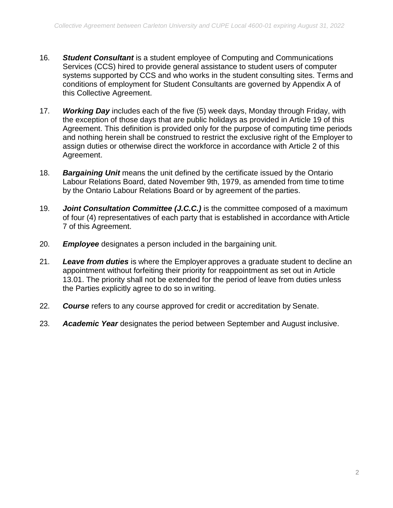- 16. *Student Consultant* is a student employee of Computing and Communications Services (CCS) hired to provide general assistance to student users of computer systems supported by CCS and who works in the student consulting sites. Terms and conditions of employment for Student Consultants are governed by Appendix A of this Collective Agreement.
- 17. *Working Day* includes each of the five (5) week days, Monday through Friday, with the exception of those days that are public holidays as provided in Article 19 of this Agreement. This definition is provided only for the purpose of computing time periods and nothing herein shall be construed to restrict the exclusive right of the Employer to assign duties or otherwise direct the workforce in accordance with Article 2 of this Agreement.
- 18. *Bargaining Unit* means the unit defined by the certificate issued by the Ontario Labour Relations Board, dated November 9th, 1979, as amended from time to time by the Ontario Labour Relations Board or by agreement of the parties.
- 19. *Joint Consultation Committee (J.C.C.)* is the committee composed of a maximum of four (4) representatives of each party that is established in accordance with Article 7 of this Agreement.
- 20. *Employee* designates a person included in the bargaining unit.
- 21. *Leave from duties* is where the Employer approves a graduate student to decline an appointment without forfeiting their priority for reappointment as set out in Article 13.01. The priority shall not be extended for the period of leave from duties unless the Parties explicitly agree to do so in writing.
- 22. *Course* refers to any course approved for credit or accreditation by Senate.
- 23. *Academic Year* designates the period between September and August inclusive.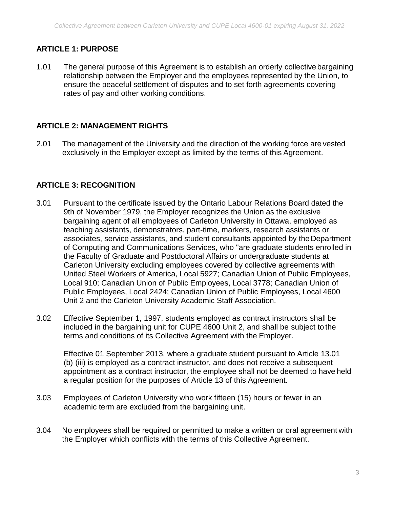## <span id="page-4-0"></span>**ARTICLE 1: PURPOSE**

1.01 The general purpose of this Agreement is to establish an orderly collective bargaining relationship between the Employer and the employees represented by the Union, to ensure the peaceful settlement of disputes and to set forth agreements covering rates of pay and other working conditions.

#### <span id="page-4-1"></span>**ARTICLE 2: MANAGEMENT RIGHTS**

2.01 The management of the University and the direction of the working force are vested exclusively in the Employer except as limited by the terms of this Agreement.

#### <span id="page-4-2"></span>**ARTICLE 3: RECOGNITION**

- 3.01 Pursuant to the certificate issued by the Ontario Labour Relations Board dated the 9th of November 1979, the Employer recognizes the Union as the exclusive bargaining agent of all employees of Carleton University in Ottawa, employed as teaching assistants, demonstrators, part-time, markers, research assistants or associates, service assistants, and student consultants appointed by the Department of Computing and Communications Services, who "are graduate students enrolled in the Faculty of Graduate and Postdoctoral Affairs or undergraduate students at Carleton University excluding employees covered by collective agreements with United Steel Workers of America, Local 5927; Canadian Union of Public Employees, Local 910; Canadian Union of Public Employees, Local 3778; Canadian Union of Public Employees, Local 2424; Canadian Union of Public Employees, Local 4600 Unit 2 and the Carleton University Academic Staff Association.
- 3.02 Effective September 1, 1997, students employed as contract instructors shall be included in the bargaining unit for CUPE 4600 Unit 2, and shall be subject to the terms and conditions of its Collective Agreement with the Employer.

Effective 01 September 2013, where a graduate student pursuant to Article 13.01 (b) (iii) is employed as a contract instructor, and does not receive a subsequent appointment as a contract instructor, the employee shall not be deemed to have held a regular position for the purposes of Article 13 of this Agreement.

- 3.03 Employees of Carleton University who work fifteen (15) hours or fewer in an academic term are excluded from the bargaining unit.
- 3.04 No employees shall be required or permitted to make a written or oral agreement with the Employer which conflicts with the terms of this Collective Agreement.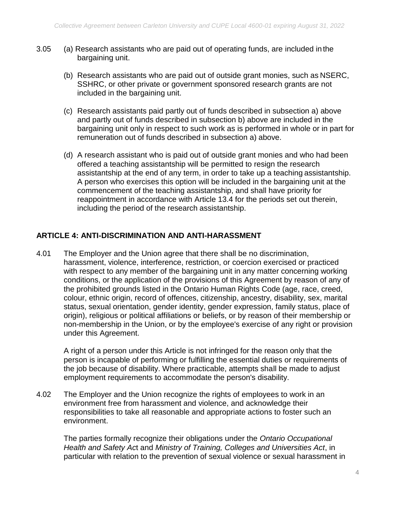- 3.05 (a) Research assistants who are paid out of operating funds, are included in the bargaining unit.
	- (b) Research assistants who are paid out of outside grant monies, such as NSERC, SSHRC, or other private or government sponsored research grants are not included in the bargaining unit.
	- (c) Research assistants paid partly out of funds described in subsection a) above and partly out of funds described in subsection b) above are included in the bargaining unit only in respect to such work as is performed in whole or in part for remuneration out of funds described in subsection a) above.
	- (d) A research assistant who is paid out of outside grant monies and who had been offered a teaching assistantship will be permitted to resign the research assistantship at the end of any term, in order to take up a teaching assistantship. A person who exercises this option will be included in the bargaining unit at the commencement of the teaching assistantship, and shall have priority for reappointment in accordance with Article 13.4 for the periods set out therein, including the period of the research assistantship.

## **ARTICLE 4: ANTI-DISCRIMINATION AND ANTI-HARASSMENT**

4.01 The Employer and the Union agree that there shall be no discrimination, harassment, violence, interference, restriction, or coercion exercised or practiced with respect to any member of the bargaining unit in any matter concerning working conditions, or the application of the provisions of this Agreement by reason of any of the prohibited grounds listed in the Ontario Human Rights Code (age, race, creed, colour, ethnic origin, record of offences, citizenship, ancestry, disability, sex, marital status, sexual orientation, gender identity, gender expression, family status, place of origin), religious or political affiliations or beliefs, or by reason of their membership or non-membership in the Union, or by the employee's exercise of any right or provision under this Agreement.

A right of a person under this Article is not infringed for the reason only that the person is incapable of performing or fulfilling the essential duties or requirements of the job because of disability. Where practicable, attempts shall be made to adjust employment requirements to accommodate the person's disability.

4.02 The Employer and the Union recognize the rights of employees to work in an environment free from harassment and violence, and acknowledge their responsibilities to take all reasonable and appropriate actions to foster such an environment.

The parties formally recognize their obligations under the *Ontario Occupational Health and Safety Ac*t and *Ministry of Training, Colleges and Universities Act*, in particular with relation to the prevention of sexual violence or sexual harassment in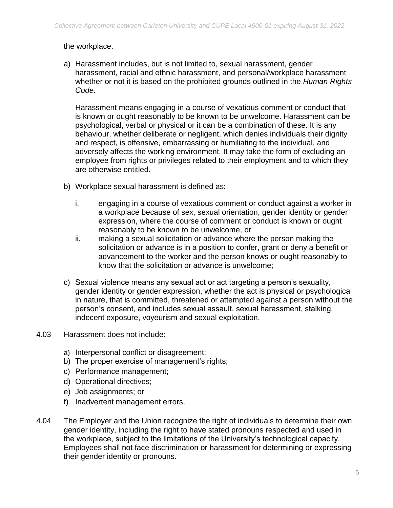#### the workplace.

a) Harassment includes, but is not limited to, sexual harassment, gender harassment, racial and ethnic harassment, and personal/workplace harassment whether or not it is based on the prohibited grounds outlined in the *Human Rights Code.* 

Harassment means engaging in a course of vexatious comment or conduct that is known or ought reasonably to be known to be unwelcome. Harassment can be psychological, verbal or physical or it can be a combination of these. It is any behaviour, whether deliberate or negligent, which denies individuals their dignity and respect, is offensive, embarrassing or humiliating to the individual, and adversely affects the working environment. It may take the form of excluding an employee from rights or privileges related to their employment and to which they are otherwise entitled.

- b) Workplace sexual harassment is defined as:
	- i. engaging in a course of vexatious comment or conduct against a worker in a workplace because of sex, sexual orientation, gender identity or gender expression, where the course of comment or conduct is known or ought reasonably to be known to be unwelcome, or
	- ii. making a sexual solicitation or advance where the person making the solicitation or advance is in a position to confer, grant or deny a benefit or advancement to the worker and the person knows or ought reasonably to know that the solicitation or advance is unwelcome;
- c) Sexual violence means any sexual act or act targeting a person's sexuality, gender identity or gender expression, whether the act is physical or psychological in nature, that is committed, threatened or attempted against a person without the person's consent, and includes sexual assault, sexual harassment, stalking, indecent exposure, voyeurism and sexual exploitation.
- 4.03 Harassment does not include:
	- a) Interpersonal conflict or disagreement;
	- b) The proper exercise of management's rights;
	- c) Performance management;
	- d) Operational directives;
	- e) Job assignments; or
	- f) Inadvertent management errors.
- 4.04 The Employer and the Union recognize the right of individuals to determine their own gender identity, including the right to have stated pronouns respected and used in the workplace, subject to the limitations of the University's technological capacity. Employees shall not face discrimination or harassment for determining or expressing their gender identity or pronouns.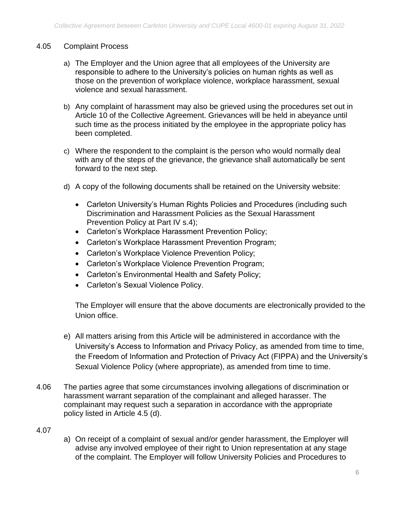#### 4.05 Complaint Process

- a) The Employer and the Union agree that all employees of the University are responsible to adhere to the University's policies on human rights as well as those on the prevention of workplace violence, workplace harassment, sexual violence and sexual harassment.
- b) Any complaint of harassment may also be grieved using the procedures set out in Article 10 of the Collective Agreement. Grievances will be held in abeyance until such time as the process initiated by the employee in the appropriate policy has been completed.
- c) Where the respondent to the complaint is the person who would normally deal with any of the steps of the grievance, the grievance shall automatically be sent forward to the next step.
- d) A copy of the following documents shall be retained on the University website:
	- Carleton University's Human Rights Policies and Procedures (including such Discrimination and Harassment Policies as the Sexual Harassment Prevention Policy at Part IV s.4);
	- Carleton's Workplace Harassment Prevention Policy;
	- Carleton's Workplace Harassment Prevention Program;
	- Carleton's Workplace Violence Prevention Policy;
	- Carleton's Workplace Violence Prevention Program;
	- Carleton's Environmental Health and Safety Policy;
	- Carleton's Sexual Violence Policy.

The Employer will ensure that the above documents are electronically provided to the Union office.

- e) All matters arising from this Article will be administered in accordance with the University's Access to Information and Privacy Policy, as amended from time to time, the Freedom of Information and Protection of Privacy Act (FIPPA) and the University's Sexual Violence Policy (where appropriate), as amended from time to time.
- 4.06 The parties agree that some circumstances involving allegations of discrimination or harassment warrant separation of the complainant and alleged harasser. The complainant may request such a separation in accordance with the appropriate policy listed in Article 4.5 (d).

#### 4.07

a) On receipt of a complaint of sexual and/or gender harassment, the Employer will advise any involved employee of their right to Union representation at any stage of the complaint. The Employer will follow University Policies and Procedures to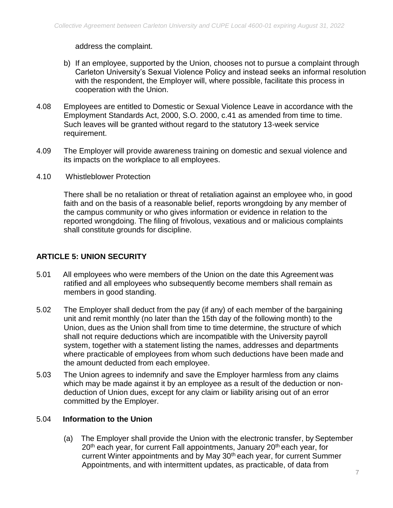address the complaint.

- b) If an employee, supported by the Union, chooses not to pursue a complaint through Carleton University's Sexual Violence Policy and instead seeks an informal resolution with the respondent, the Employer will, where possible, facilitate this process in cooperation with the Union.
- 4.08 Employees are entitled to Domestic or Sexual Violence Leave in accordance with the Employment Standards Act, 2000, S.O. 2000, c.41 as amended from time to time. Such leaves will be granted without regard to the statutory 13-week service requirement.
- 4.09 The Employer will provide awareness training on domestic and sexual violence and its impacts on the workplace to all employees.
- 4.10 Whistleblower Protection

There shall be no retaliation or threat of retaliation against an employee who, in good faith and on the basis of a reasonable belief, reports wrongdoing by any member of the campus community or who gives information or evidence in relation to the reported wrongdoing. The filing of frivolous, vexatious and or malicious complaints shall constitute grounds for discipline.

## <span id="page-8-1"></span><span id="page-8-0"></span>**ARTICLE 5: UNION SECURITY**

- 5.01 All employees who were members of the Union on the date this Agreement was ratified and all employees who subsequently become members shall remain as members in good standing.
- 5.02 The Employer shall deduct from the pay (if any) of each member of the bargaining unit and remit monthly (no later than the 15th day of the following month) to the Union, dues as the Union shall from time to time determine, the structure of which shall not require deductions which are incompatible with the University payroll system, together with a statement listing the names, addresses and departments where practicable of employees from whom such deductions have been made and the amount deducted from each employee.
- 5.03 The Union agrees to indemnify and save the Employer harmless from any claims which may be made against it by an employee as a result of the deduction or nondeduction of Union dues, except for any claim or liability arising out of an error committed by the Employer.

#### 5.04 **Information to the Union**

(a) The Employer shall provide the Union with the electronic transfer, by September 20<sup>th</sup> each year, for current Fall appointments, January 20<sup>th</sup> each year, for current Winter appointments and by May 30<sup>th</sup> each year, for current Summer Appointments, and with intermittent updates, as practicable, of data from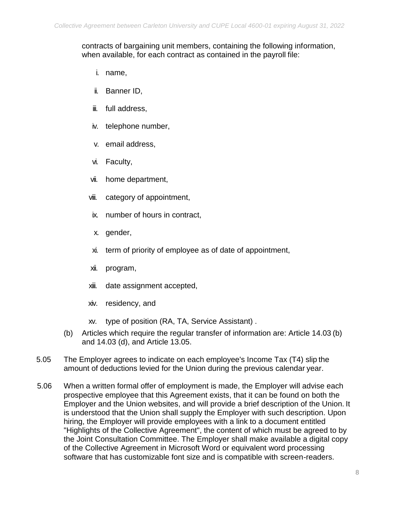#### contracts of bargaining unit members, containing the following information, when available, for each contract as contained in the payroll file:

- i. name,
- ii. Banner ID,
- iii. full address,
- iv. telephone number,
- v. email address,
- vi. Faculty,
- vii. home department,
- viii. category of appointment,
- ix. number of hours in contract,
- x. gender,
- xi. term of priority of employee as of date of appointment,
- xii. program,
- xiii. date assignment accepted,
- xiv. residency, and
- xv. type of position (RA, TA, Service Assistant) .
- (b) Articles which require the regular transfer of information are: Article 14.03 (b) and 14.03 (d), and Article 13.05.
- 5.05 The Employer agrees to indicate on each employee's Income Tax (T4) slip the amount of deductions levied for the Union during the previous calendar year.
- 5.06 When a written formal offer of employment is made, the Employer will advise each prospective employee that this Agreement exists, that it can be found on both the Employer and the Union websites, and will provide a brief description of the Union. It is understood that the Union shall supply the Employer with such description. Upon hiring, the Employer will provide employees with a link to a document entitled "Highlights of the Collective Agreement", the content of which must be agreed to by the Joint Consultation Committee. The Employer shall make available a digital copy of the Collective Agreement in Microsoft Word or equivalent word processing software that has customizable font size and is compatible with screen-readers.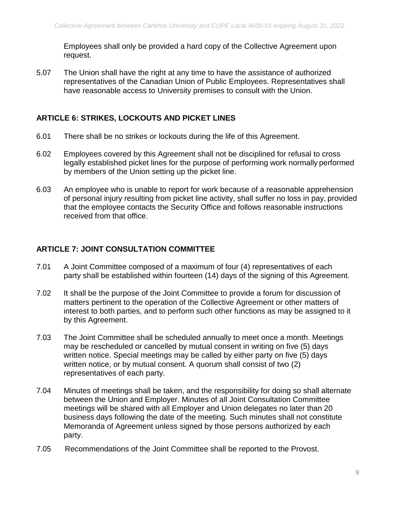Employees shall only be provided a hard copy of the Collective Agreement upon request.

5.07 The Union shall have the right at any time to have the assistance of authorized representatives of the Canadian Union of Public Employees. Representatives shall have reasonable access to University premises to consult with the Union.

## <span id="page-10-0"></span>**ARTICLE 6: STRIKES, LOCKOUTS AND PICKET LINES**

- 6.01 There shall be no strikes or lockouts during the life of this Agreement.
- 6.02 Employees covered by this Agreement shall not be disciplined for refusal to cross legally established picket lines for the purpose of performing work normally performed by members of the Union setting up the picket line.
- 6.03 An employee who is unable to report for work because of a reasonable apprehension of personal injury resulting from picket line activity, shall suffer no loss in pay, provided that the employee contacts the Security Office and follows reasonable instructions received from that office.

#### <span id="page-10-1"></span>**ARTICLE 7: JOINT CONSULTATION COMMITTEE**

- 7.01 A Joint Committee composed of a maximum of four (4) representatives of each party shall be established within fourteen (14) days of the signing of this Agreement.
- 7.02 It shall be the purpose of the Joint Committee to provide a forum for discussion of matters pertinent to the operation of the Collective Agreement or other matters of interest to both parties, and to perform such other functions as may be assigned to it by this Agreement.
- 7.03 The Joint Committee shall be scheduled annually to meet once a month. Meetings may be rescheduled or cancelled by mutual consent in writing on five (5) days written notice. Special meetings may be called by either party on five (5) days written notice, or by mutual consent. A quorum shall consist of two (2) representatives of each party.
- 7.04 Minutes of meetings shall be taken, and the responsibility for doing so shall alternate between the Union and Employer. Minutes of all Joint Consultation Committee meetings will be shared with all Employer and Union delegates no later than 20 business days following the date of the meeting. Such minutes shall not constitute Memoranda of Agreement unless signed by those persons authorized by each party.
- 7.05 Recommendations of the Joint Committee shall be reported to the Provost.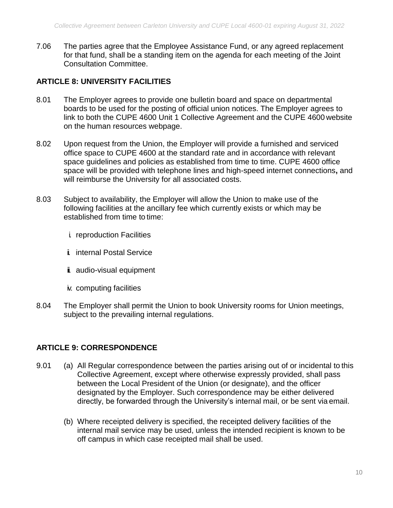7.06 The parties agree that the Employee Assistance Fund, or any agreed replacement for that fund, shall be a standing item on the agenda for each meeting of the Joint Consultation Committee.

## <span id="page-11-0"></span>**ARTICLE 8: UNIVERSITY FACILITIES**

- 8.01 The Employer agrees to provide one bulletin board and space on departmental boards to be used for the posting of official union notices. The Employer agrees to link to both the CUPE 4600 Unit 1 Collective Agreement and the CUPE 4600 website on the human resources webpage.
- 8.02 Upon request from the Union, the Employer will provide a furnished and serviced office space to CUPE 4600 at the standard rate and in accordance with relevant space guidelines and policies as established from time to time. CUPE 4600 office space will be provided with telephone lines and high-speed internet connections**,** and will reimburse the University for all associated costs.
- 8.03 Subject to availability, the Employer will allow the Union to make use of the following facilities at the ancillary fee which currently exists or which may be established from time to time:
	- i. reproduction Facilities
	- **i.** internal Postal Service
	- i. audio-visual equipment
	- iv. computing facilities
- 8.04 The Employer shall permit the Union to book University rooms for Union meetings, subject to the prevailing internal regulations.

## <span id="page-11-1"></span>**ARTICLE 9: CORRESPONDENCE**

- 9.01 (a) All Regular correspondence between the parties arising out of or incidental to this Collective Agreement, except where otherwise expressly provided, shall pass between the Local President of the Union (or designate), and the officer designated by the Employer. Such correspondence may be either delivered directly, be forwarded through the University's internal mail, or be sent via email.
	- (b) Where receipted delivery is specified, the receipted delivery facilities of the internal mail service may be used, unless the intended recipient is known to be off campus in which case receipted mail shall be used.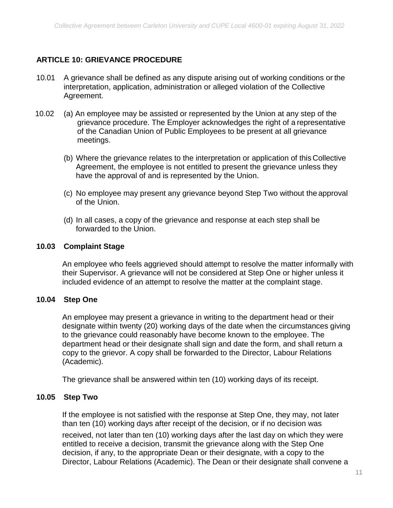## <span id="page-12-0"></span>**ARTICLE 10: GRIEVANCE PROCEDURE**

- 10.01 A grievance shall be defined as any dispute arising out of working conditions or the interpretation, application, administration or alleged violation of the Collective Agreement.
- 10.02 (a) An employee may be assisted or represented by the Union at any step of the grievance procedure. The Employer acknowledges the right of a representative of the Canadian Union of Public Employees to be present at all grievance meetings.
	- (b) Where the grievance relates to the interpretation or application of this Collective Agreement, the employee is not entitled to present the grievance unless they have the approval of and is represented by the Union.
	- (c) No employee may present any grievance beyond Step Two without the approval of the Union.
	- (d) In all cases, a copy of the grievance and response at each step shall be forwarded to the Union.

#### **10.03 Complaint Stage**

An employee who feels aggrieved should attempt to resolve the matter informally with their Supervisor. A grievance will not be considered at Step One or higher unless it included evidence of an attempt to resolve the matter at the complaint stage.

#### **10.04 Step One**

An employee may present a grievance in writing to the department head or their designate within twenty (20) working days of the date when the circumstances giving to the grievance could reasonably have become known to the employee. The department head or their designate shall sign and date the form, and shall return a copy to the grievor. A copy shall be forwarded to the Director, Labour Relations (Academic).

The grievance shall be answered within ten (10) working days of its receipt.

#### **10.05 Step Two**

If the employee is not satisfied with the response at Step One, they may, not later than ten (10) working days after receipt of the decision, or if no decision was

received, not later than ten (10) working days after the last day on which they were entitled to receive a decision, transmit the grievance along with the Step One decision, if any, to the appropriate Dean or their designate, with a copy to the Director, Labour Relations (Academic). The Dean or their designate shall convene a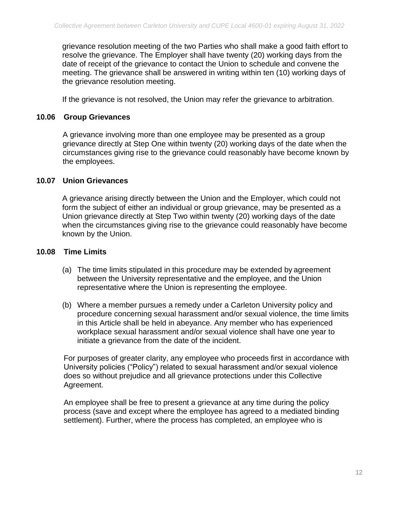grievance resolution meeting of the two Parties who shall make a good faith effort to resolve the grievance. The Employer shall have twenty (20) working days from the date of receipt of the grievance to contact the Union to schedule and convene the meeting. The grievance shall be answered in writing within ten (10) working days of the grievance resolution meeting.

If the grievance is not resolved, the Union may refer the grievance to arbitration.

#### **10.06 Group Grievances**

A grievance involving more than one employee may be presented as a group grievance directly at Step One within twenty (20) working days of the date when the circumstances giving rise to the grievance could reasonably have become known by the employees.

#### **10.07 Union Grievances**

A grievance arising directly between the Union and the Employer, which could not form the subject of either an individual or group grievance, may be presented as a Union grievance directly at Step Two within twenty (20) working days of the date when the circumstances giving rise to the grievance could reasonably have become known by the Union.

#### **10.08 Time Limits**

- (a) The time limits stipulated in this procedure may be extended by agreement between the University representative and the employee, and the Union representative where the Union is representing the employee.
- (b) Where a member pursues a remedy under a Carleton University policy and procedure concerning sexual harassment and/or sexual violence, the time limits in this Article shall be held in abeyance. Any member who has experienced workplace sexual harassment and/or sexual violence shall have one year to initiate a grievance from the date of the incident.

For purposes of greater clarity, any employee who proceeds first in accordance with University policies ("Policy") related to sexual harassment and/or sexual violence does so without prejudice and all grievance protections under this Collective Agreement.

An employee shall be free to present a grievance at any time during the policy process (save and except where the employee has agreed to a mediated binding settlement). Further, where the process has completed, an employee who is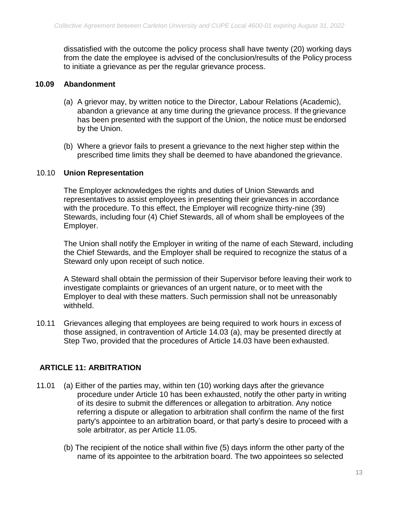dissatisfied with the outcome the policy process shall have twenty (20) working days from the date the employee is advised of the conclusion/results of the Policy process to initiate a grievance as per the regular grievance process.

#### **10.09 Abandonment**

- (a) A grievor may, by written notice to the Director, Labour Relations (Academic), abandon a grievance at any time during the grievance process. If the grievance has been presented with the support of the Union, the notice must be endorsed by the Union.
- (b) Where a grievor fails to present a grievance to the next higher step within the prescribed time limits they shall be deemed to have abandoned the grievance.

#### 10.10 **Union Representation**

The Employer acknowledges the rights and duties of Union Stewards and representatives to assist employees in presenting their grievances in accordance with the procedure. To this effect, the Employer will recognize thirty-nine (39) Stewards, including four (4) Chief Stewards, all of whom shall be employees of the Employer.

The Union shall notify the Employer in writing of the name of each Steward, including the Chief Stewards, and the Employer shall be required to recognize the status of a Steward only upon receipt of such notice.

A Steward shall obtain the permission of their Supervisor before leaving their work to investigate complaints or grievances of an urgent nature, or to meet with the Employer to deal with these matters. Such permission shall not be unreasonably withheld.

10.11 Grievances alleging that employees are being required to work hours in excess of those assigned, in contravention of Article 14.03 (a), may be presented directly at Step Two, provided that the procedures of Article 14.03 have been exhausted.

#### <span id="page-14-0"></span>**ARTICLE 11: ARBITRATION**

- 11.01 (a) Either of the parties may, within ten (10) working days after the grievance procedure under Article 10 has been exhausted, notify the other party in writing of its desire to submit the differences or allegation to arbitration. Any notice referring a dispute or allegation to arbitration shall confirm the name of the first party's appointee to an arbitration board, or that party's desire to proceed with a sole arbitrator, as per Article 11.05.
	- (b) The recipient of the notice shall within five (5) days inform the other party of the name of its appointee to the arbitration board. The two appointees so selected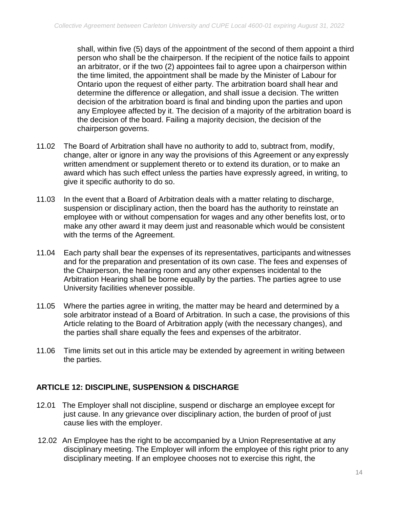shall, within five (5) days of the appointment of the second of them appoint a third person who shall be the chairperson. If the recipient of the notice fails to appoint an arbitrator, or if the two (2) appointees fail to agree upon a chairperson within the time limited, the appointment shall be made by the Minister of Labour for Ontario upon the request of either party. The arbitration board shall hear and determine the difference or allegation, and shall issue a decision. The written decision of the arbitration board is final and binding upon the parties and upon any Employee affected by it. The decision of a majority of the arbitration board is the decision of the board. Failing a majority decision, the decision of the chairperson governs.

- 11.02 The Board of Arbitration shall have no authority to add to, subtract from, modify, change, alter or ignore in any way the provisions of this Agreement or any expressly written amendment or supplement thereto or to extend its duration, or to make an award which has such effect unless the parties have expressly agreed, in writing, to give it specific authority to do so.
- 11.03 In the event that a Board of Arbitration deals with a matter relating to discharge, suspension or disciplinary action, then the board has the authority to reinstate an employee with or without compensation for wages and any other benefits lost, orto make any other award it may deem just and reasonable which would be consistent with the terms of the Agreement.
- 11.04 Each party shall bear the expenses of its representatives, participants and witnesses and for the preparation and presentation of its own case. The fees and expenses of the Chairperson, the hearing room and any other expenses incidental to the Arbitration Hearing shall be borne equally by the parties. The parties agree to use University facilities whenever possible.
- 11.05 Where the parties agree in writing, the matter may be heard and determined by a sole arbitrator instead of a Board of Arbitration. In such a case, the provisions of this Article relating to the Board of Arbitration apply (with the necessary changes), and the parties shall share equally the fees and expenses of the arbitrator.
- 11.06 Time limits set out in this article may be extended by agreement in writing between the parties.

## <span id="page-15-0"></span>**ARTICLE 12: DISCIPLINE, SUSPENSION & DISCHARGE**

- 12.01 The Employer shall not discipline, suspend or discharge an employee except for just cause. In any grievance over disciplinary action, the burden of proof of just cause lies with the employer.
- 12.02 An Employee has the right to be accompanied by a Union Representative at any disciplinary meeting. The Employer will inform the employee of this right prior to any disciplinary meeting. If an employee chooses not to exercise this right, the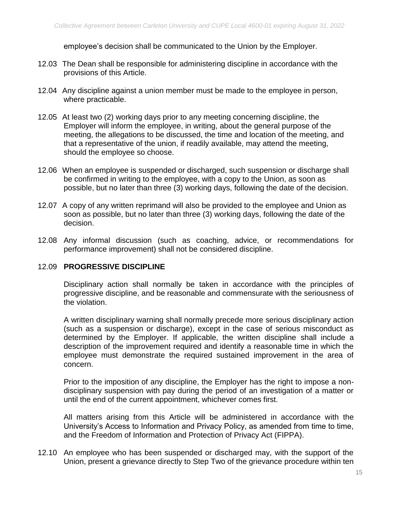employee's decision shall be communicated to the Union by the Employer.

- 12.03 The Dean shall be responsible for administering discipline in accordance with the provisions of this Article.
- 12.04 Any discipline against a union member must be made to the employee in person, where practicable.
- 12.05 At least two (2) working days prior to any meeting concerning discipline, the Employer will inform the employee, in writing, about the general purpose of the meeting, the allegations to be discussed, the time and location of the meeting, and that a representative of the union, if readily available, may attend the meeting, should the employee so choose.
- 12.06 When an employee is suspended or discharged, such suspension or discharge shall be confirmed in writing to the employee, with a copy to the Union, as soon as possible, but no later than three (3) working days, following the date of the decision.
- 12.07 A copy of any written reprimand will also be provided to the employee and Union as soon as possible, but no later than three (3) working days, following the date of the decision.
- 12.08 Any informal discussion (such as coaching, advice, or recommendations for performance improvement) shall not be considered discipline.

#### 12.09 **PROGRESSIVE DISCIPLINE**

Disciplinary action shall normally be taken in accordance with the principles of progressive discipline, and be reasonable and commensurate with the seriousness of the violation.

A written disciplinary warning shall normally precede more serious disciplinary action (such as a suspension or discharge), except in the case of serious misconduct as determined by the Employer. If applicable, the written discipline shall include a description of the improvement required and identify a reasonable time in which the employee must demonstrate the required sustained improvement in the area of concern.

Prior to the imposition of any discipline, the Employer has the right to impose a nondisciplinary suspension with pay during the period of an investigation of a matter or until the end of the current appointment, whichever comes first.

All matters arising from this Article will be administered in accordance with the University's Access to Information and Privacy Policy, as amended from time to time, and the Freedom of Information and Protection of Privacy Act (FIPPA).

12.10 An employee who has been suspended or discharged may, with the support of the Union, present a grievance directly to Step Two of the grievance procedure within ten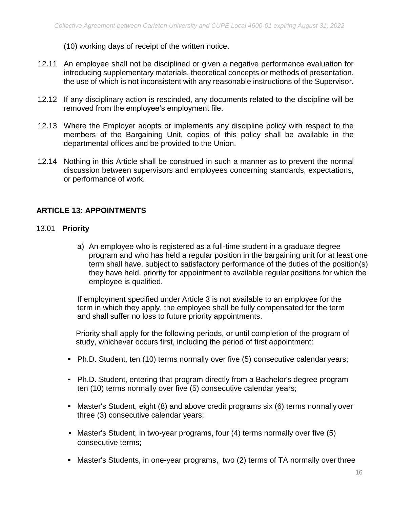(10) working days of receipt of the written notice.

- 12.11 An employee shall not be disciplined or given a negative performance evaluation for introducing supplementary materials, theoretical concepts or methods of presentation, the use of which is not inconsistent with any reasonable instructions of the Supervisor.
- 12.12 If any disciplinary action is rescinded, any documents related to the discipline will be removed from the employee's employment file.
- 12.13 Where the Employer adopts or implements any discipline policy with respect to the members of the Bargaining Unit, copies of this policy shall be available in the departmental offices and be provided to the Union.
- 12.14 Nothing in this Article shall be construed in such a manner as to prevent the normal discussion between supervisors and employees concerning standards, expectations, or performance of work.

#### <span id="page-17-0"></span>**ARTICLE 13: APPOINTMENTS**

#### 13.01 **Priority**

a) An employee who is registered as a full-time student in a graduate degree program and who has held a regular position in the bargaining unit for at least one term shall have, subject to satisfactory performance of the duties of the position(s) they have held, priority for appointment to available regular positions for which the employee is qualified.

If employment specified under Article 3 is not available to an employee for the term in which they apply, the employee shall be fully compensated for the term and shall suffer no loss to future priority appointments.

Priority shall apply for the following periods, or until completion of the program of study, whichever occurs first, including the period of first appointment:

- Ph.D. Student, ten (10) terms normally over five (5) consecutive calendar years;
- Ph.D. Student, entering that program directly from a Bachelor's degree program ten (10) terms normally over five (5) consecutive calendar years;
- **EXED Master's Student, eight (8) and above credit programs six (6) terms normally over** three (3) consecutive calendar years;
- Master's Student, in two-year programs, four (4) terms normally over five (5) consecutive terms;
- Master's Students, in one-year programs, two (2) terms of TA normally over three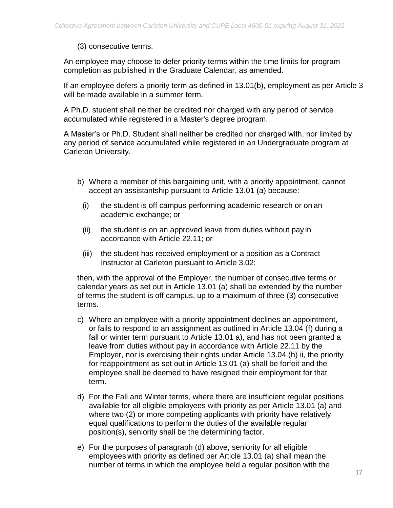## (3) consecutive terms.

An employee may choose to defer priority terms within the time limits for program completion as published in the Graduate Calendar, as amended.

If an employee defers a priority term as defined in 13.01(b), employment as per Article 3 will be made available in a summer term.

A Ph.D. student shall neither be credited nor charged with any period of service accumulated while registered in a Master's degree program.

A Master's or Ph.D. Student shall neither be credited nor charged with, nor limited by any period of service accumulated while registered in an Undergraduate program at Carleton University.

- b) Where a member of this bargaining unit, with a priority appointment, cannot accept an assistantship pursuant to Article 13.01 (a) because:
	- (i) the student is off campus performing academic research or on an academic exchange; or
	- (ii) the student is on an approved leave from duties without pay in accordance with Article 22.11; or
	- (iii) the student has received employment or a position as a Contract Instructor at Carleton pursuant to Article 3.02;

then, with the approval of the Employer, the number of consecutive terms or calendar years as set out in Article 13.01 (a) shall be extended by the number of terms the student is off campus, up to a maximum of three (3) consecutive terms.

- c) Where an employee with a priority appointment declines an appointment, or fails to respond to an assignment as outlined in Article 13.04 (f) during a fall or winter term pursuant to Article 13.01 a), and has not been granted a leave from duties without pay in accordance with Article 22.11 by the Employer, nor is exercising their rights under Article 13.04 (h) ii, the priority for reappointment as set out in Article 13.01 (a) shall be forfeit and the employee shall be deemed to have resigned their employment for that term.
- d) For the Fall and Winter terms, where there are insufficient regular positions available for all eligible employees with priority as per Article 13.01 (a) and where two (2) or more competing applicants with priority have relatively equal qualifications to perform the duties of the available regular position(s), seniority shall be the determining factor.
- e) For the purposes of paragraph (d) above, seniority for all eligible employees with priority as defined per Article 13.01 (a) shall mean the number of terms in which the employee held a regular position with the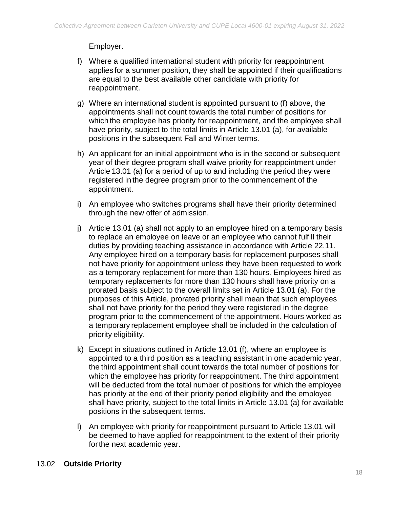Employer.

- f) Where a qualified international student with priority for reappointment applies for a summer position, they shall be appointed if their qualifications are equal to the best available other candidate with priority for reappointment.
- g) Where an international student is appointed pursuant to (f) above, the appointments shall not count towards the total number of positions for which the employee has priority for reappointment, and the employee shall have priority, subject to the total limits in Article 13.01 (a), for available positions in the subsequent Fall and Winter terms.
- h) An applicant for an initial appointment who is in the second or subsequent year of their degree program shall waive priority for reappointment under Article 13.01 (a) for a period of up to and including the period they were registered in the degree program prior to the commencement of the appointment.
- i) An employee who switches programs shall have their priority determined through the new offer of admission.
- j) Article 13.01 (a) shall not apply to an employee hired on a temporary basis to replace an employee on leave or an employee who cannot fulfill their duties by providing teaching assistance in accordance with Article 22.11. Any employee hired on a temporary basis for replacement purposes shall not have priority for appointment unless they have been requested to work as a temporary replacement for more than 130 hours. Employees hired as temporary replacements for more than 130 hours shall have priority on a prorated basis subject to the overall limits set in Article 13.01 (a). For the purposes of this Article, prorated priority shall mean that such employees shall not have priority for the period they were registered in the degree program prior to the commencement of the appointment. Hours worked as a temporary replacement employee shall be included in the calculation of priority eligibility.
- k) Except in situations outlined in Article 13.01 (f), where an employee is appointed to a third position as a teaching assistant in one academic year, the third appointment shall count towards the total number of positions for which the employee has priority for reappointment. The third appointment will be deducted from the total number of positions for which the employee has priority at the end of their priority period eligibility and the employee shall have priority, subject to the total limits in Article 13.01 (a) for available positions in the subsequent terms.
- l) An employee with priority for reappointment pursuant to Article 13.01 will be deemed to have applied for reappointment to the extent of their priority forthe next academic year.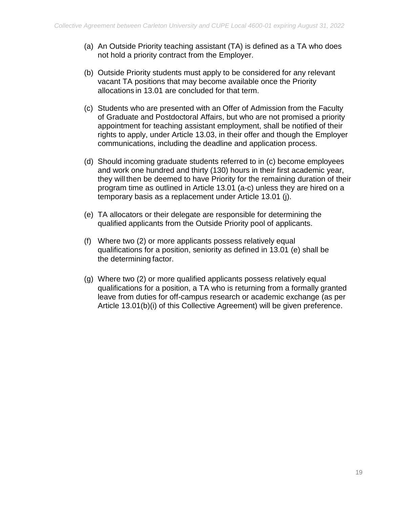- (a) An Outside Priority teaching assistant (TA) is defined as a TA who does not hold a priority contract from the Employer.
- (b) Outside Priority students must apply to be considered for any relevant vacant TA positions that may become available once the Priority allocations in 13.01 are concluded for that term.
- (c) Students who are presented with an Offer of Admission from the Faculty of Graduate and Postdoctoral Affairs, but who are not promised a priority appointment for teaching assistant employment, shall be notified of their rights to apply, under Article 13.03, in their offer and though the Employer communications, including the deadline and application process.
- (d) Should incoming graduate students referred to in (c) become employees and work one hundred and thirty (130) hours in their first academic year, they will then be deemed to have Priority for the remaining duration of their program time as outlined in Article 13.01 (a-c) unless they are hired on a temporary basis as a replacement under Article 13.01 (j).
- (e) TA allocators or their delegate are responsible for determining the qualified applicants from the Outside Priority pool of applicants.
- (f) Where two (2) or more applicants possess relatively equal qualifications for a position, seniority as defined in 13.01 (e) shall be the determining factor.
- (g) Where two (2) or more qualified applicants possess relatively equal qualifications for a position, a TA who is returning from a formally granted leave from duties for off-campus research or academic exchange (as per Article 13.01(b)(i) of this Collective Agreement) will be given preference.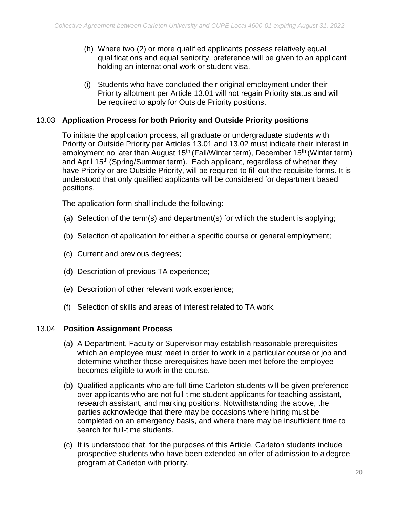- (h) Where two (2) or more qualified applicants possess relatively equal qualifications and equal seniority, preference will be given to an applicant holding an international work or student visa.
- (i) Students who have concluded their original employment under their Priority allotment per Article 13.01 will not regain Priority status and will be required to apply for Outside Priority positions.

## 13.03 **Application Process for both Priority and Outside Priority positions**

To initiate the application process, all graduate or undergraduate students with Priority or Outside Priority per Articles 13.01 and 13.02 must indicate their interest in employment no later than August 15<sup>th</sup> (Fall/Winter term), December 15<sup>th</sup> (Winter term) and April 15<sup>th</sup> (Spring/Summer term). Each applicant, regardless of whether they have Priority or are Outside Priority, will be required to fill out the requisite forms. It is understood that only qualified applicants will be considered for department based positions.

The application form shall include the following:

- (a) Selection of the term(s) and department(s) for which the student is applying;
- (b) Selection of application for either a specific course or general employment;
- (c) Current and previous degrees;
- (d) Description of previous TA experience;
- (e) Description of other relevant work experience;
- (f) Selection of skills and areas of interest related to TA work.

#### 13.04 **Position Assignment Process**

- (a) A Department, Faculty or Supervisor may establish reasonable prerequisites which an employee must meet in order to work in a particular course or job and determine whether those prerequisites have been met before the employee becomes eligible to work in the course.
- (b) Qualified applicants who are full-time Carleton students will be given preference over applicants who are not full-time student applicants for teaching assistant, research assistant, and marking positions. Notwithstanding the above, the parties acknowledge that there may be occasions where hiring must be completed on an emergency basis, and where there may be insufficient time to search for full-time students.
- (c) It is understood that, for the purposes of this Article, Carleton students include prospective students who have been extended an offer of admission to a degree program at Carleton with priority.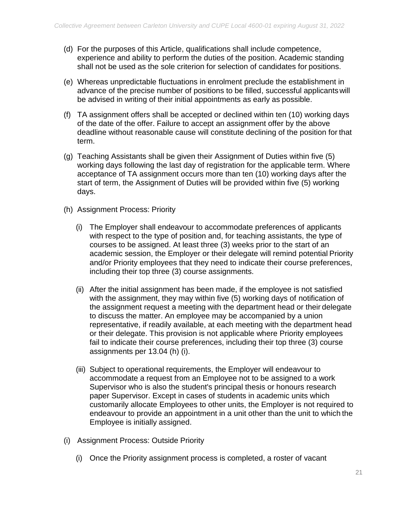- (d) For the purposes of this Article, qualifications shall include competence, experience and ability to perform the duties of the position. Academic standing shall not be used as the sole criterion for selection of candidates for positions.
- (e) Whereas unpredictable fluctuations in enrolment preclude the establishment in advance of the precise number of positions to be filled, successful applicantswill be advised in writing of their initial appointments as early as possible.
- (f) TA assignment offers shall be accepted or declined within ten (10) working days of the date of the offer. Failure to accept an assignment offer by the above deadline without reasonable cause will constitute declining of the position for that term.
- (g) Teaching Assistants shall be given their Assignment of Duties within five (5) working days following the last day of registration for the applicable term. Where acceptance of TA assignment occurs more than ten (10) working days after the start of term, the Assignment of Duties will be provided within five (5) working days.
- (h) Assignment Process: Priority
	- (i) The Employer shall endeavour to accommodate preferences of applicants with respect to the type of position and, for teaching assistants, the type of courses to be assigned. At least three (3) weeks prior to the start of an academic session, the Employer or their delegate will remind potential Priority and/or Priority employees that they need to indicate their course preferences, including their top three (3) course assignments.
	- (ii) After the initial assignment has been made, if the employee is not satisfied with the assignment, they may within five (5) working days of notification of the assignment request a meeting with the department head or their delegate to discuss the matter. An employee may be accompanied by a union representative, if readily available, at each meeting with the department head or their delegate. This provision is not applicable where Priority employees fail to indicate their course preferences, including their top three (3) course assignments per 13.04 (h) (i).
	- (iii) Subject to operational requirements, the Employer will endeavour to accommodate a request from an Employee not to be assigned to a work Supervisor who is also the student's principal thesis or honours research paper Supervisor. Except in cases of students in academic units which customarily allocate Employees to other units, the Employer is not required to endeavour to provide an appointment in a unit other than the unit to which the Employee is initially assigned.
- (i) Assignment Process: Outside Priority
	- (i) Once the Priority assignment process is completed, a roster of vacant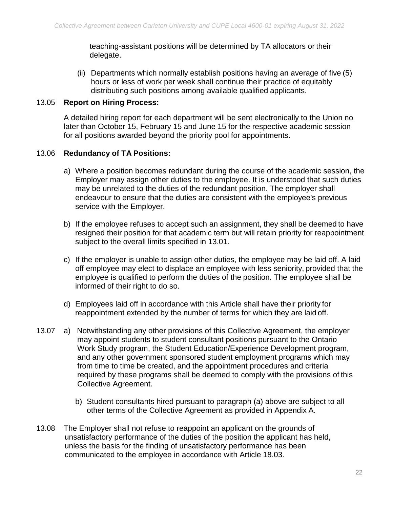teaching-assistant positions will be determined by TA allocators or their delegate.

(ii) Departments which normally establish positions having an average of five (5) hours or less of work per week shall continue their practice of equitably distributing such positions among available qualified applicants.

#### 13.05 **Report on Hiring Process:**

A detailed hiring report for each department will be sent electronically to the Union no later than October 15, February 15 and June 15 for the respective academic session for all positions awarded beyond the priority pool for appointments.

#### 13.06 **Redundancy of TA Positions:**

- a) Where a position becomes redundant during the course of the academic session, the Employer may assign other duties to the employee. It is understood that such duties may be unrelated to the duties of the redundant position. The employer shall endeavour to ensure that the duties are consistent with the employee's previous service with the Employer.
- b) If the employee refuses to accept such an assignment, they shall be deemed to have resigned their position for that academic term but will retain priority for reappointment subject to the overall limits specified in 13.01.
- c) If the employer is unable to assign other duties, the employee may be laid off. A laid off employee may elect to displace an employee with less seniority, provided that the employee is qualified to perform the duties of the position. The employee shall be informed of their right to do so.
- d) Employees laid off in accordance with this Article shall have their priority for reappointment extended by the number of terms for which they are laid off.
- 13.07 a) Notwithstanding any other provisions of this Collective Agreement, the employer may appoint students to student consultant positions pursuant to the Ontario Work Study program, the Student Education/Experience Development program, and any other government sponsored student employment programs which may from time to time be created, and the appointment procedures and criteria required by these programs shall be deemed to comply with the provisions of this Collective Agreement.
	- b) Student consultants hired pursuant to paragraph (a) above are subject to all other terms of the Collective Agreement as provided in Appendix A.
- 13.08 The Employer shall not refuse to reappoint an applicant on the grounds of unsatisfactory performance of the duties of the position the applicant has held, unless the basis for the finding of unsatisfactory performance has been communicated to the employee in accordance with Article 18.03.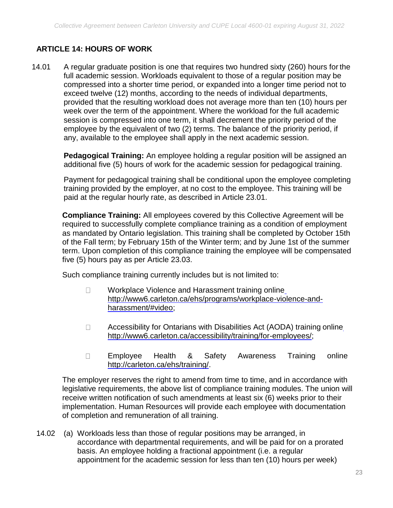## <span id="page-24-0"></span>**ARTICLE 14: HOURS OF WORK**

14.01 A regular graduate position is one that requires two hundred sixty (260) hours for the full academic session. Workloads equivalent to those of a regular position may be compressed into a shorter time period, or expanded into a longer time period not to exceed twelve (12) months, according to the needs of individual departments, provided that the resulting workload does not average more than ten (10) hours per week over the term of the appointment. Where the workload for the full academic session is compressed into one term, it shall decrement the priority period of the employee by the equivalent of two (2) terms. The balance of the priority period, if any, available to the employee shall apply in the next academic session.

**Pedagogical Training:** An employee holding a regular position will be assigned an additional five (5) hours of work for the academic session for pedagogical training.

Payment for pedagogical training shall be conditional upon the employee completing training provided by the employer, at no cost to the employee. This training will be paid at the regular hourly rate, as described in Article 23.01.

**Compliance Training:** All employees covered by this Collective Agreement will be required to successfully complete compliance training as a condition of employment as mandated by Ontario legislation. This training shall be completed by October 15th of the Fall term; by February 15th of the Winter term; and by June 1st of the summer term. Upon completion of this compliance training the employee will be compensated five (5) hours pay as per Article 23.03.

Such compliance training currently includes but is not limited to:

- Workplace Violence and Harassment training onlin[e](http://www6.carleton.ca/ehs/programs/workplace-violence-and-harassment/#video)  $\Box$ [http://www6.carleton.ca/ehs/programs/workplace-violence-and](http://www6.carleton.ca/ehs/programs/workplace-violence-and-harassment/#video)[harassment/#video;](http://www6.carleton.ca/ehs/programs/workplace-violence-and-harassment/#video)
- Accessibility for Ontarians with Disabilities Act (AODA) training onlin[e](http://www6.carleton.ca/accessibility/training/for-employees/)  $\Box$ [http://www6.carleton.ca/accessibility/training/for-employees/;](http://www6.carleton.ca/accessibility/training/for-employees/)
- $\Box$ Employee Health & Safety Awareness Training onlin[e](http://carleton.ca/ehs/training/) [http://carleton.ca/ehs/training/.](http://carleton.ca/ehs/training/)

The employer reserves the right to amend from time to time, and in accordance with legislative requirements, the above list of compliance training modules. The union will receive written notification of such amendments at least six (6) weeks prior to their implementation. Human Resources will provide each employee with documentation of completion and remuneration of all training.

14.02 (a) Workloads less than those of regular positions may be arranged, in accordance with departmental requirements, and will be paid for on a prorated basis. An employee holding a fractional appointment (i.e. a regular appointment for the academic session for less than ten (10) hours per week)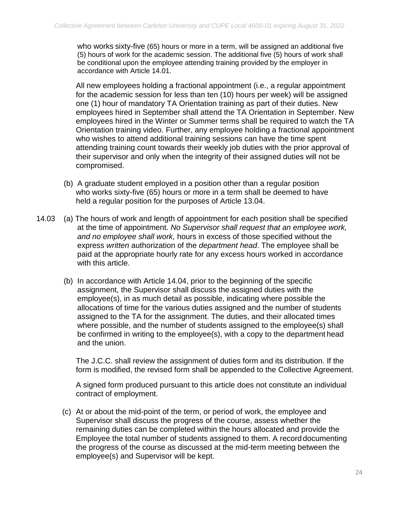who works sixty-five (65) hours or more in a term, will be assigned an additional five (5) hours of work for the academic session. The additional five (5) hours of work shall be conditional upon the employee attending training provided by the employer in accordance with Article 14.01.

All new employees holding a fractional appointment (i.e., a regular appointment for the academic session for less than ten (10) hours per week) will be assigned one (1) hour of mandatory TA Orientation training as part of their duties. New employees hired in September shall attend the TA Orientation in September. New employees hired in the Winter or Summer terms shall be required to watch the TA Orientation training video. Further, any employee holding a fractional appointment who wishes to attend additional training sessions can have the time spent attending training count towards their weekly job duties with the prior approval of their supervisor and only when the integrity of their assigned duties will not be compromised.

- (b) A graduate student employed in a position other than a regular position who works sixty-five (65) hours or more in a term shall be deemed to have held a regular position for the purposes of Article 13.04.
- 14.03 (a) The hours of work and length of appointment for each position shall be specified at the time of appointment. *No Supervisor shall request that an employee work, and no employee shall work,* hours in excess of those specified without the express *written* authorization of the *department head*. The employee shall be paid at the appropriate hourly rate for any excess hours worked in accordance with this article.
	- (b) In accordance with Article 14.04, prior to the beginning of the specific assignment, the Supervisor shall discuss the assigned duties with the employee(s), in as much detail as possible, indicating where possible the allocations of time for the various duties assigned and the number of students assigned to the TA for the assignment. The duties, and their allocated times where possible, and the number of students assigned to the employee(s) shall be confirmed in writing to the employee(s), with a copy to the department head and the union.

The J.C.C. shall review the assignment of duties form and its distribution. If the form is modified, the revised form shall be appended to the Collective Agreement.

A signed form produced pursuant to this article does not constitute an individual contract of employment.

(c) At or about the mid-point of the term, or period of work, the employee and Supervisor shall discuss the progress of the course, assess whether the remaining duties can be completed within the hours allocated and provide the Employee the total number of students assigned to them. A record documenting the progress of the course as discussed at the mid-term meeting between the employee(s) and Supervisor will be kept.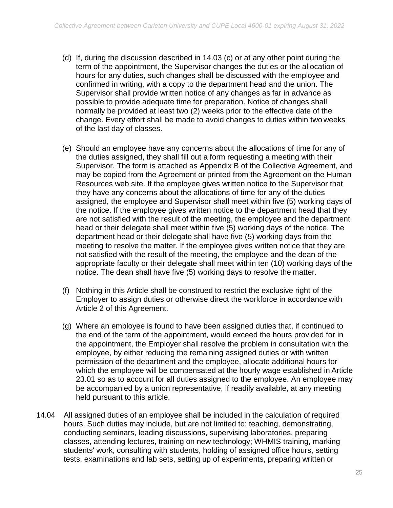- (d) If, during the discussion described in 14.03 (c) or at any other point during the term of the appointment, the Supervisor changes the duties or the allocation of hours for any duties, such changes shall be discussed with the employee and confirmed in writing, with a copy to the department head and the union. The Supervisor shall provide written notice of any changes as far in advance as possible to provide adequate time for preparation. Notice of changes shall normally be provided at least two (2) weeks prior to the effective date of the change. Every effort shall be made to avoid changes to duties within two weeks of the last day of classes.
- (e) Should an employee have any concerns about the allocations of time for any of the duties assigned, they shall fill out a form requesting a meeting with their Supervisor. The form is attached as Appendix B of the Collective Agreement, and may be copied from the Agreement or printed from the Agreement on the Human Resources web site. If the employee gives written notice to the Supervisor that they have any concerns about the allocations of time for any of the duties assigned, the employee and Supervisor shall meet within five (5) working days of the notice. If the employee gives written notice to the department head that they are not satisfied with the result of the meeting, the employee and the department head or their delegate shall meet within five (5) working days of the notice. The department head or their delegate shall have five (5) working days from the meeting to resolve the matter. If the employee gives written notice that they are not satisfied with the result of the meeting, the employee and the dean of the appropriate faculty or their delegate shall meet within ten (10) working days of the notice. The dean shall have five (5) working days to resolve the matter.
- (f) Nothing in this Article shall be construed to restrict the exclusive right of the Employer to assign duties or otherwise direct the workforce in accordance with Article 2 of this Agreement.
- (g) Where an employee is found to have been assigned duties that, if continued to the end of the term of the appointment, would exceed the hours provided for in the appointment, the Employer shall resolve the problem in consultation with the employee, by either reducing the remaining assigned duties or with written permission of the department and the employee, allocate additional hours for which the employee will be compensated at the hourly wage established in Article 23.01 so as to account for all duties assigned to the employee. An employee may be accompanied by a union representative, if readily available, at any meeting held pursuant to this article.
- 14.04 All assigned duties of an employee shall be included in the calculation of required hours. Such duties may include, but are not limited to: teaching, demonstrating, conducting seminars, leading discussions, supervising laboratories, preparing classes, attending lectures, training on new technology; WHMIS training, marking students' work, consulting with students, holding of assigned office hours, setting tests, examinations and lab sets, setting up of experiments, preparing written or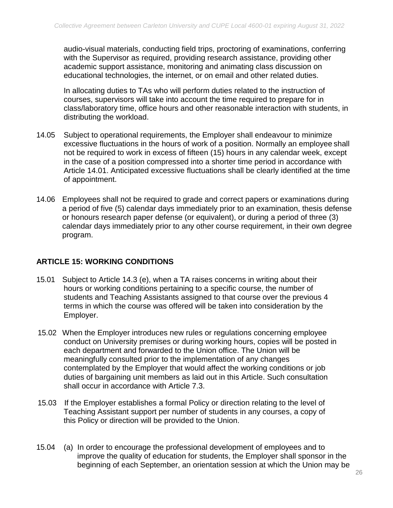audio-visual materials, conducting field trips, proctoring of examinations, conferring with the Supervisor as required, providing research assistance, providing other academic support assistance, monitoring and animating class discussion on educational technologies, the internet, or on email and other related duties.

In allocating duties to TAs who will perform duties related to the instruction of courses, supervisors will take into account the time required to prepare for in class/laboratory time, office hours and other reasonable interaction with students, in distributing the workload.

- 14.05 Subject to operational requirements, the Employer shall endeavour to minimize excessive fluctuations in the hours of work of a position. Normally an employee shall not be required to work in excess of fifteen (15) hours in any calendar week, except in the case of a position compressed into a shorter time period in accordance with Article 14.01. Anticipated excessive fluctuations shall be clearly identified at the time of appointment.
- 14.06 Employees shall not be required to grade and correct papers or examinations during a period of five (5) calendar days immediately prior to an examination, thesis defense or honours research paper defense (or equivalent), or during a period of three (3) calendar days immediately prior to any other course requirement, in their own degree program.

## <span id="page-27-0"></span>**ARTICLE 15: WORKING CONDITIONS**

- 15.01 Subject to Article 14.3 (e), when a TA raises concerns in writing about their hours or working conditions pertaining to a specific course, the number of students and Teaching Assistants assigned to that course over the previous 4 terms in which the course was offered will be taken into consideration by the Employer.
- 15.02 When the Employer introduces new rules or regulations concerning employee conduct on University premises or during working hours, copies will be posted in each department and forwarded to the Union office. The Union will be meaningfully consulted prior to the implementation of any changes contemplated by the Employer that would affect the working conditions or job duties of bargaining unit members as laid out in this Article. Such consultation shall occur in accordance with Article 7.3.
- 15.03 If the Employer establishes a formal Policy or direction relating to the level of Teaching Assistant support per number of students in any courses, a copy of this Policy or direction will be provided to the Union.
- 15.04 (a) In order to encourage the professional development of employees and to improve the quality of education for students, the Employer shall sponsor in the beginning of each September, an orientation session at which the Union may be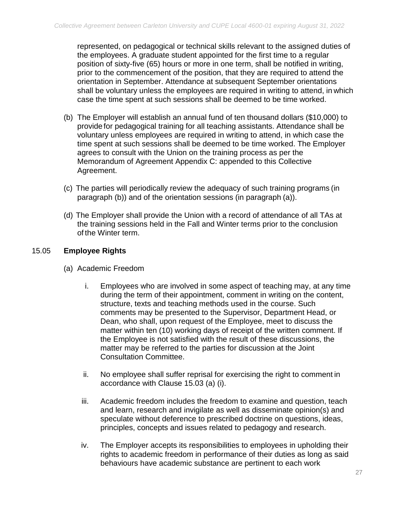represented, on pedagogical or technical skills relevant to the assigned duties of the employees. A graduate student appointed for the first time to a regular position of sixty-five (65) hours or more in one term, shall be notified in writing, prior to the commencement of the position, that they are required to attend the orientation in September. Attendance at subsequent September orientations shall be voluntary unless the employees are required in writing to attend, in which case the time spent at such sessions shall be deemed to be time worked.

- (b) The Employer will establish an annual fund of ten thousand dollars (\$10,000) to provide for pedagogical training for all teaching assistants. Attendance shall be voluntary unless employees are required in writing to attend, in which case the time spent at such sessions shall be deemed to be time worked. The Employer agrees to consult with the Union on the training process as per the Memorandum of Agreement Appendix C: appended to this Collective Agreement.
- (c) The parties will periodically review the adequacy of such training programs (in paragraph (b)) and of the orientation sessions (in paragraph (a)).
- (d) The Employer shall provide the Union with a record of attendance of all TAs at the training sessions held in the Fall and Winter terms prior to the conclusion of the Winter term.

## 15.05 **Employee Rights**

- (a) Academic Freedom
	- i. Employees who are involved in some aspect of teaching may, at any time during the term of their appointment, comment in writing on the content, structure, texts and teaching methods used in the course. Such comments may be presented to the Supervisor, Department Head, or Dean, who shall, upon request of the Employee, meet to discuss the matter within ten (10) working days of receipt of the written comment. If the Employee is not satisfied with the result of these discussions, the matter may be referred to the parties for discussion at the Joint Consultation Committee.
	- ii. No employee shall suffer reprisal for exercising the right to comment in accordance with Clause 15.03 (a) (i).
	- iii. Academic freedom includes the freedom to examine and question, teach and learn, research and invigilate as well as disseminate opinion(s) and speculate without deference to prescribed doctrine on questions, ideas, principles, concepts and issues related to pedagogy and research.
	- iv. The Employer accepts its responsibilities to employees in upholding their rights to academic freedom in performance of their duties as long as said behaviours have academic substance are pertinent to each work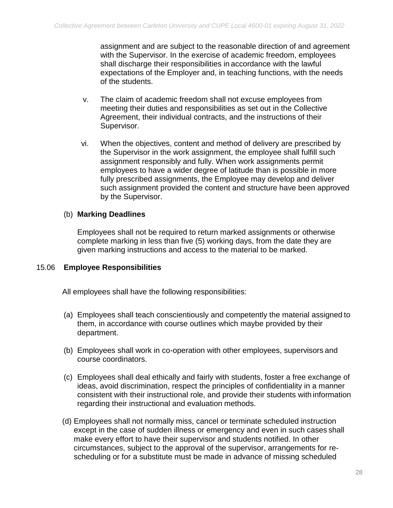assignment and are subject to the reasonable direction of and agreement with the Supervisor. In the exercise of academic freedom, employees shall discharge their responsibilities in accordance with the lawful expectations of the Employer and, in teaching functions, with the needs of the students.

- v. The claim of academic freedom shall not excuse employees from meeting their duties and responsibilities as set out in the Collective Agreement, their individual contracts, and the instructions of their Supervisor.
- vi. When the objectives, content and method of delivery are prescribed by the Supervisor in the work assignment, the employee shall fulfill such assignment responsibly and fully. When work assignments permit employees to have a wider degree of latitude than is possible in more fully prescribed assignments, the Employee may develop and deliver such assignment provided the content and structure have been approved by the Supervisor.

## (b) **Marking Deadlines**

Employees shall not be required to return marked assignments or otherwise complete marking in less than five (5) working days, from the date they are given marking instructions and access to the material to be marked.

#### 15.06 **Employee Responsibilities**

All employees shall have the following responsibilities:

- (a) Employees shall teach conscientiously and competently the material assigned to them, in accordance with course outlines which maybe provided by their department.
- (b) Employees shall work in co-operation with other employees, supervisors and course coordinators.
- (c) Employees shall deal ethically and fairly with students, foster a free exchange of ideas, avoid discrimination, respect the principles of confidentiality in a manner consistent with their instructional role, and provide their students with information regarding their instructional and evaluation methods.
- (d) Employees shall not normally miss, cancel or terminate scheduled instruction except in the case of sudden illness or emergency and even in such cases shall make every effort to have their supervisor and students notified. In other circumstances, subject to the approval of the supervisor, arrangements for rescheduling or for a substitute must be made in advance of missing scheduled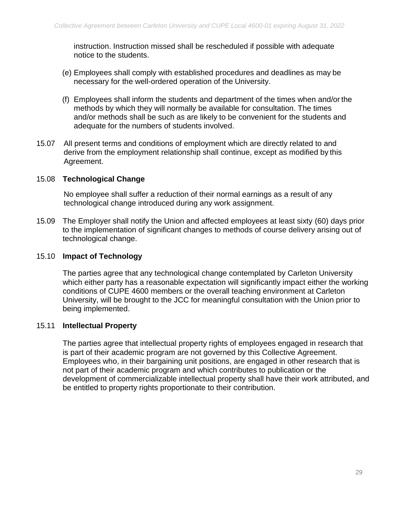instruction. Instruction missed shall be rescheduled if possible with adequate notice to the students.

- (e) Employees shall comply with established procedures and deadlines as may be necessary for the well-ordered operation of the University.
- (f) Employees shall inform the students and department of the times when and/or the methods by which they will normally be available for consultation. The times and/or methods shall be such as are likely to be convenient for the students and adequate for the numbers of students involved.
- 15.07 All present terms and conditions of employment which are directly related to and derive from the employment relationship shall continue, except as modified by this Agreement.

#### 15.08 **Technological Change**

No employee shall suffer a reduction of their normal earnings as a result of any technological change introduced during any work assignment.

15.09 The Employer shall notify the Union and affected employees at least sixty (60) days prior to the implementation of significant changes to methods of course delivery arising out of technological change.

#### 15.10 **Impact of Technology**

The parties agree that any technological change contemplated by Carleton University which either party has a reasonable expectation will significantly impact either the working conditions of CUPE 4600 members or the overall teaching environment at Carleton University, will be brought to the JCC for meaningful consultation with the Union prior to being implemented.

#### 15.11 **Intellectual Property**

The parties agree that intellectual property rights of employees engaged in research that is part of their academic program are not governed by this Collective Agreement. Employees who, in their bargaining unit positions, are engaged in other research that is not part of their academic program and which contributes to publication or the development of commercializable intellectual property shall have their work attributed, and be entitled to property rights proportionate to their contribution.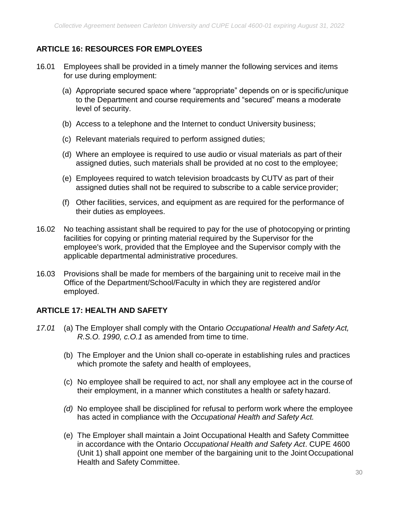## <span id="page-31-0"></span>**ARTICLE 16: RESOURCES FOR EMPLOYEES**

- 16.01 Employees shall be provided in a timely manner the following services and items for use during employment:
	- (a) Appropriate secured space where "appropriate" depends on or is specific/unique to the Department and course requirements and "secured" means a moderate level of security.
	- (b) Access to a telephone and the Internet to conduct University business;
	- (c) Relevant materials required to perform assigned duties;
	- (d) Where an employee is required to use audio or visual materials as part of their assigned duties, such materials shall be provided at no cost to the employee;
	- (e) Employees required to watch television broadcasts by CUTV as part of their assigned duties shall not be required to subscribe to a cable service provider;
	- (f) Other facilities, services, and equipment as are required for the performance of their duties as employees.
- 16.02 No teaching assistant shall be required to pay for the use of photocopying or printing facilities for copying or printing material required by the Supervisor for the employee's work, provided that the Employee and the Supervisor comply with the applicable departmental administrative procedures.
- 16.03 Provisions shall be made for members of the bargaining unit to receive mail in the Office of the Department/School/Faculty in which they are registered and/or employed.

## <span id="page-31-1"></span>**ARTICLE 17: HEALTH AND SAFETY**

- *17.01* (a) The Employer shall comply with the Ontario *Occupational Health and Safety Act, R.S.O. 1990, c.O.1* as amended from time to time.
	- (b) The Employer and the Union shall co-operate in establishing rules and practices which promote the safety and health of employees,
	- (c) No employee shall be required to act, nor shall any employee act in the course of their employment, in a manner which constitutes a health or safety hazard.
	- *(d)* No employee shall be disciplined for refusal to perform work where the employee has acted in compliance with the *Occupational Health and Safety Act.*
	- (e) The Employer shall maintain a Joint Occupational Health and Safety Committee in accordance with the Ontario *Occupational Health and Safety Act*. CUPE 4600 (Unit 1) shall appoint one member of the bargaining unit to the Joint Occupational Health and Safety Committee.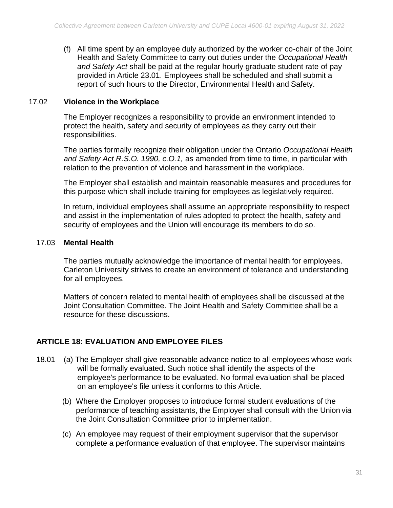(f) All time spent by an employee duly authorized by the worker co-chair of the Joint Health and Safety Committee to carry out duties under the *Occupational Health and Safety Act* shall be paid at the regular hourly graduate student rate of pay provided in Article 23.01. Employees shall be scheduled and shall submit a report of such hours to the Director, Environmental Health and Safety.

#### 17.02 **Violence in the Workplace**

The Employer recognizes a responsibility to provide an environment intended to protect the health, safety and security of employees as they carry out their responsibilities.

The parties formally recognize their obligation under the Ontario *Occupational Health and Safety Act R.S.O. 1990, c.O.1,* as amended from time to time, in particular with relation to the prevention of violence and harassment in the workplace.

The Employer shall establish and maintain reasonable measures and procedures for this purpose which shall include training for employees as legislatively required.

In return, individual employees shall assume an appropriate responsibility to respect and assist in the implementation of rules adopted to protect the health, safety and security of employees and the Union will encourage its members to do so.

#### 17.03 **Mental Health**

The parties mutually acknowledge the importance of mental health for employees. Carleton University strives to create an environment of tolerance and understanding for all employees.

Matters of concern related to mental health of employees shall be discussed at the Joint Consultation Committee. The Joint Health and Safety Committee shall be a resource for these discussions.

## <span id="page-32-0"></span>**ARTICLE 18: EVALUATION AND EMPLOYEE FILES**

- 18.01 (a) The Employer shall give reasonable advance notice to all employees whose work will be formally evaluated. Such notice shall identify the aspects of the employee's performance to be evaluated. No formal evaluation shall be placed on an employee's file unless it conforms to this Article.
	- (b) Where the Employer proposes to introduce formal student evaluations of the performance of teaching assistants, the Employer shall consult with the Union via the Joint Consultation Committee prior to implementation.
	- (c) An employee may request of their employment supervisor that the supervisor complete a performance evaluation of that employee. The supervisor maintains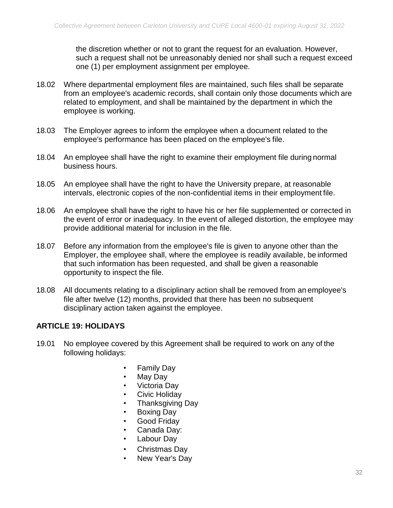the discretion whether or not to grant the request for an evaluation. However, such a request shall not be unreasonably denied nor shall such a request exceed one (1) per employment assignment per employee.

- 18.02 Where departmental employment files are maintained, such files shall be separate from an employee's academic records, shall contain only those documents which are related to employment, and shall be maintained by the department in which the employee is working.
- 18.03 The Employer agrees to inform the employee when a document related to the employee's performance has been placed on the employee's file.
- 18.04 An employee shall have the right to examine their employment file during normal business hours.
- 18.05 An employee shall have the right to have the University prepare, at reasonable intervals, electronic copies of the non-confidential items in their employment file.
- 18.06 An employee shall have the right to have his or her file supplemented or corrected in the event of error or inadequacy. In the event of alleged distortion, the employee may provide additional material for inclusion in the file.
- 18.07 Before any information from the employee's file is given to anyone other than the Employer, the employee shall, where the employee is readily available, be informed that such information has been requested, and shall be given a reasonable opportunity to inspect the file.
- 18.08 All documents relating to a disciplinary action shall be removed from an employee's file after twelve (12) months, provided that there has been no subsequent disciplinary action taken against the employee.

#### <span id="page-33-0"></span>**ARTICLE 19: HOLIDAYS**

- 19.01 No employee covered by this Agreement shall be required to work on any of the following holidays:
	- Family Day
	- May Day
	- Victoria Day
	- Civic Holiday
	- Thanksgiving Day
	- Boxing Day
	- Good Friday
	- Canada Day:
	- Labour Day
	- Christmas Day
	- New Year's Day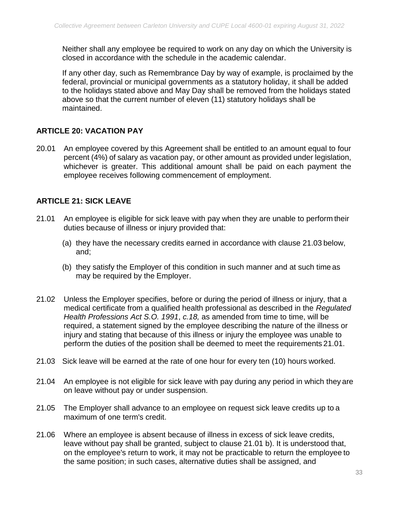Neither shall any employee be required to work on any day on which the University is closed in accordance with the schedule in the academic calendar.

If any other day, such as Remembrance Day by way of example, is proclaimed by the federal, provincial or municipal governments as a statutory holiday, it shall be added to the holidays stated above and May Day shall be removed from the holidays stated above so that the current number of eleven (11) statutory holidays shall be maintained.

## <span id="page-34-0"></span>**ARTICLE 20: VACATION PAY**

20.01 An employee covered by this Agreement shall be entitled to an amount equal to four percent (4%) of salary as vacation pay, or other amount as provided under legislation, whichever is greater. This additional amount shall be paid on each payment the employee receives following commencement of employment.

#### <span id="page-34-1"></span>**ARTICLE 21: SICK LEAVE**

- 21.01 An employee is eligible for sick leave with pay when they are unable to perform their duties because of illness or injury provided that:
	- (a) they have the necessary credits earned in accordance with clause 21.03 below, and;
	- (b) they satisfy the Employer of this condition in such manner and at such time as may be required by the Employer.
- 21.02 Unless the Employer specifies, before or during the period of illness or injury, that a medical certificate from a qualified health professional as described in the *Regulated Health Professions Act S.O. 1991*, *c.18,* as amended from time to time, will be required, a statement signed by the employee describing the nature of the illness or injury and stating that because of this illness or injury the employee was unable to perform the duties of the position shall be deemed to meet the requirements 21.01.
- 21.03 Sick leave will be earned at the rate of one hour for every ten (10) hours worked.
- 21.04 An employee is not eligible for sick leave with pay during any period in which they are on leave without pay or under suspension.
- 21.05 The Employer shall advance to an employee on request sick leave credits up to a maximum of one term's credit.
- 21.06 Where an employee is absent because of illness in excess of sick leave credits, leave without pay shall be granted, subject to clause 21.01 b). It is understood that, on the employee's return to work, it may not be practicable to return the employee to the same position; in such cases, alternative duties shall be assigned, and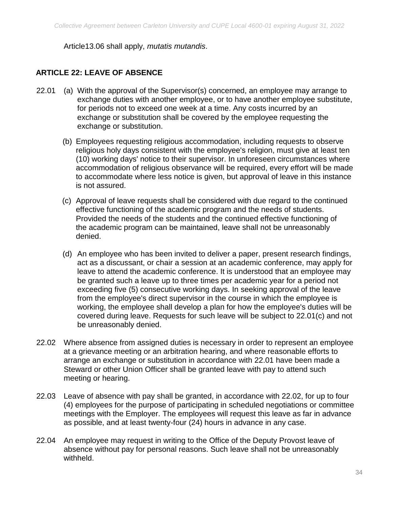<span id="page-35-0"></span>Article13.06 shall apply, *mutatis mutandis*.

## **ARTICLE 22: LEAVE OF ABSENCE**

- 22.01 (a) With the approval of the Supervisor(s) concerned, an employee may arrange to exchange duties with another employee, or to have another employee substitute, for periods not to exceed one week at a time. Any costs incurred by an exchange or substitution shall be covered by the employee requesting the exchange or substitution.
	- (b) Employees requesting religious accommodation, including requests to observe religious holy days consistent with the employee's religion, must give at least ten (10) working days' notice to their supervisor. In unforeseen circumstances where accommodation of religious observance will be required, every effort will be made to accommodate where less notice is given, but approval of leave in this instance is not assured.
	- (c) Approval of leave requests shall be considered with due regard to the continued effective functioning of the academic program and the needs of students. Provided the needs of the students and the continued effective functioning of the academic program can be maintained, leave shall not be unreasonably denied.
	- (d) An employee who has been invited to deliver a paper, present research findings, act as a discussant, or chair a session at an academic conference, may apply for leave to attend the academic conference. It is understood that an employee may be granted such a leave up to three times per academic year for a period not exceeding five (5) consecutive working days. In seeking approval of the leave from the employee's direct supervisor in the course in which the employee is working, the employee shall develop a plan for how the employee's duties will be covered during leave. Requests for such leave will be subject to 22.01(c) and not be unreasonably denied.
- 22.02 Where absence from assigned duties is necessary in order to represent an employee at a grievance meeting or an arbitration hearing, and where reasonable efforts to arrange an exchange or substitution in accordance with 22.01 have been made a Steward or other Union Officer shall be granted leave with pay to attend such meeting or hearing.
- 22.03 Leave of absence with pay shall be granted, in accordance with 22.02, for up to four (4) employees for the purpose of participating in scheduled negotiations or committee meetings with the Employer. The employees will request this leave as far in advance as possible, and at least twenty-four (24) hours in advance in any case.
- 22.04 An employee may request in writing to the Office of the Deputy Provost leave of absence without pay for personal reasons. Such leave shall not be unreasonably withheld.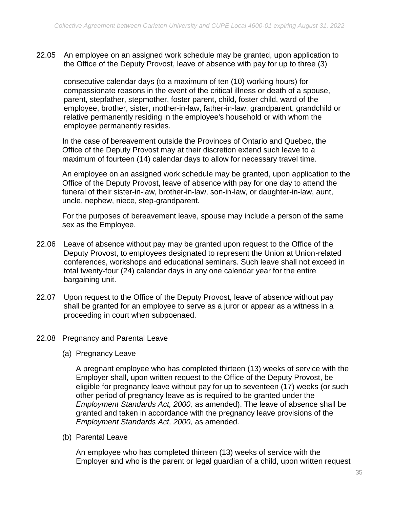22.05 An employee on an assigned work schedule may be granted, upon application to the Office of the Deputy Provost, leave of absence with pay for up to three (3)

consecutive calendar days (to a maximum of ten (10) working hours) for compassionate reasons in the event of the critical illness or death of a spouse, parent, stepfather, stepmother, foster parent, child, foster child, ward of the employee, brother, sister, mother-in-law, father-in-law, grandparent, grandchild or relative permanently residing in the employee's household or with whom the employee permanently resides.

In the case of bereavement outside the Provinces of Ontario and Quebec, the Office of the Deputy Provost may at their discretion extend such leave to a maximum of fourteen (14) calendar days to allow for necessary travel time.

An employee on an assigned work schedule may be granted, upon application to the Office of the Deputy Provost, leave of absence with pay for one day to attend the funeral of their sister-in-law, brother-in-law, son-in-law, or daughter-in-law, aunt, uncle, nephew, niece, step-grandparent.

For the purposes of bereavement leave, spouse may include a person of the same sex as the Employee.

- 22.06 Leave of absence without pay may be granted upon request to the Office of the Deputy Provost, to employees designated to represent the Union at Union-related conferences, workshops and educational seminars. Such leave shall not exceed in total twenty-four (24) calendar days in any one calendar year for the entire bargaining unit.
- 22.07 Upon request to the Office of the Deputy Provost, leave of absence without pay shall be granted for an employee to serve as a juror or appear as a witness in a proceeding in court when subpoenaed.

#### 22.08 Pregnancy and Parental Leave

(a) Pregnancy Leave

A pregnant employee who has completed thirteen (13) weeks of service with the Employer shall, upon written request to the Office of the Deputy Provost, be eligible for pregnancy leave without pay for up to seventeen (17) weeks (or such other period of pregnancy leave as is required to be granted under the *Employment Standards Act, 2000,* as amended). The leave of absence shall be granted and taken in accordance with the pregnancy leave provisions of the *Employment Standards Act, 2000,* as amended*.*

(b) Parental Leave

An employee who has completed thirteen (13) weeks of service with the Employer and who is the parent or legal guardian of a child, upon written request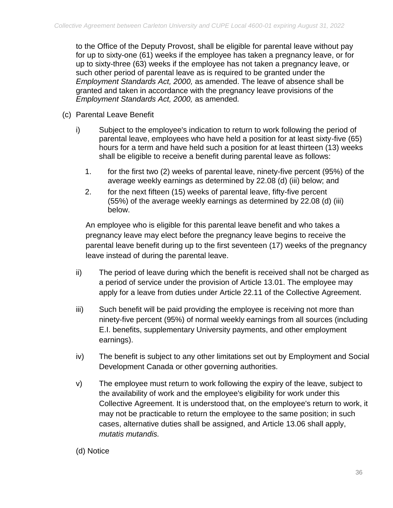to the Office of the Deputy Provost, shall be eligible for parental leave without pay for up to sixty-one (61) weeks if the employee has taken a pregnancy leave, or for up to sixty-three (63) weeks if the employee has not taken a pregnancy leave, or such other period of parental leave as is required to be granted under the *Employment Standards Act, 2000,* as amended. The leave of absence shall be granted and taken in accordance with the pregnancy leave provisions of the *Employment Standards Act, 2000,* as amended*.*

- (c) Parental Leave Benefit
	- i) Subject to the employee's indication to return to work following the period of parental leave, employees who have held a position for at least sixty-five (65) hours for a term and have held such a position for at least thirteen (13) weeks shall be eligible to receive a benefit during parental leave as follows:
		- 1. for the first two (2) weeks of parental leave, ninety-five percent (95%) of the average weekly earnings as determined by 22.08 (d) (iii) below; and
		- 2. for the next fifteen (15) weeks of parental leave, fifty-five percent (55%) of the average weekly earnings as determined by 22.08 (d) (iii) below.

An employee who is eligible for this parental leave benefit and who takes a pregnancy leave may elect before the pregnancy leave begins to receive the parental leave benefit during up to the first seventeen (17) weeks of the pregnancy leave instead of during the parental leave.

- ii) The period of leave during which the benefit is received shall not be charged as a period of service under the provision of Article 13.01. The employee may apply for a leave from duties under Article 22.11 of the Collective Agreement.
- iii) Such benefit will be paid providing the employee is receiving not more than ninety-five percent (95%) of normal weekly earnings from all sources (including E.I. benefits, supplementary University payments, and other employment earnings).
- iv) The benefit is subject to any other limitations set out by Employment and Social Development Canada or other governing authorities.
- v) The employee must return to work following the expiry of the leave, subject to the availability of work and the employee's eligibility for work under this Collective Agreement. It is understood that, on the employee's return to work, it may not be practicable to return the employee to the same position; in such cases, alternative duties shall be assigned, and Article 13.06 shall apply, *mutatis mutandis.*

#### (d) Notice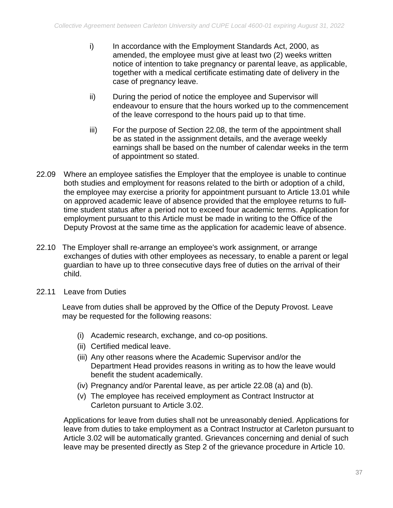- i) In accordance with the Employment Standards Act, 2000, as amended, the employee must give at least two (2) weeks written notice of intention to take pregnancy or parental leave, as applicable, together with a medical certificate estimating date of delivery in the case of pregnancy leave.
- ii) During the period of notice the employee and Supervisor will endeavour to ensure that the hours worked up to the commencement of the leave correspond to the hours paid up to that time.
- iii) For the purpose of Section 22.08, the term of the appointment shall be as stated in the assignment details, and the average weekly earnings shall be based on the number of calendar weeks in the term of appointment so stated.
- 22.09 Where an employee satisfies the Employer that the employee is unable to continue both studies and employment for reasons related to the birth or adoption of a child, the employee may exercise a priority for appointment pursuant to Article 13.01 while on approved academic leave of absence provided that the employee returns to fulltime student status after a period not to exceed four academic terms. Application for employment pursuant to this Article must be made in writing to the Office of the Deputy Provost at the same time as the application for academic leave of absence.
- 22.10 The Employer shall re-arrange an employee's work assignment, or arrange exchanges of duties with other employees as necessary, to enable a parent or legal guardian to have up to three consecutive days free of duties on the arrival of their child.
- 22.11 Leave from Duties

Leave from duties shall be approved by the Office of the Deputy Provost. Leave may be requested for the following reasons:

- (i) Academic research, exchange, and co-op positions.
- (ii) Certified medical leave.
- (iii) Any other reasons where the Academic Supervisor and/or the Department Head provides reasons in writing as to how the leave would benefit the student academically.
- (iv) Pregnancy and/or Parental leave, as per article 22.08 (a) and (b).
- (v) The employee has received employment as Contract Instructor at Carleton pursuant to Article 3.02.

Applications for leave from duties shall not be unreasonably denied. Applications for leave from duties to take employment as a Contract Instructor at Carleton pursuant to Article 3.02 will be automatically granted. Grievances concerning and denial of such leave may be presented directly as Step 2 of the grievance procedure in Article 10.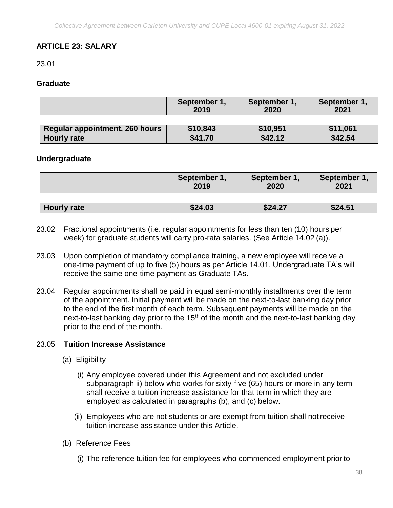## <span id="page-39-0"></span>**ARTICLE 23: SALARY**

23.01

#### <span id="page-39-1"></span>**Graduate**

|                                | September 1,<br>2019 | September 1,<br>2020 | September 1,<br>2021 |
|--------------------------------|----------------------|----------------------|----------------------|
|                                |                      |                      |                      |
| Regular appointment, 260 hours | \$10,843             | \$10,951             | \$11,061             |
| <b>Hourly rate</b>             | \$41.70              | \$42.12              | \$42.54              |

#### **Undergraduate**

|                    | September 1,<br>2019 | September 1,<br>2020 | September 1,<br>2021 |
|--------------------|----------------------|----------------------|----------------------|
|                    |                      |                      |                      |
| <b>Hourly rate</b> | \$24.03              | \$24.27              | \$24.51              |

- 23.02 Fractional appointments (i.e. regular appointments for less than ten (10) hours per week) for graduate students will carry pro-rata salaries. (See Article 14.02 (a)).
- 23.03 Upon completion of mandatory compliance training, a new employee will receive a one-time payment of up to five (5) hours as per Article 14.01. Undergraduate TA's will receive the same one-time payment as Graduate TAs.
- 23.04 Regular appointments shall be paid in equal semi-monthly installments over the term of the appointment. Initial payment will be made on the next-to-last banking day prior to the end of the first month of each term. Subsequent payments will be made on the next-to-last banking day prior to the  $15<sup>th</sup>$  of the month and the next-to-last banking day prior to the end of the month.

#### 23.05 **Tuition Increase Assistance**

- (a) Eligibility
	- (i) Any employee covered under this Agreement and not excluded under subparagraph ii) below who works for sixty-five (65) hours or more in any term shall receive a tuition increase assistance for that term in which they are employed as calculated in paragraphs (b), and (c) below.
	- (ii) Employees who are not students or are exempt from tuition shall notreceive tuition increase assistance under this Article.
- (b) Reference Fees
	- (i) The reference tuition fee for employees who commenced employment prior to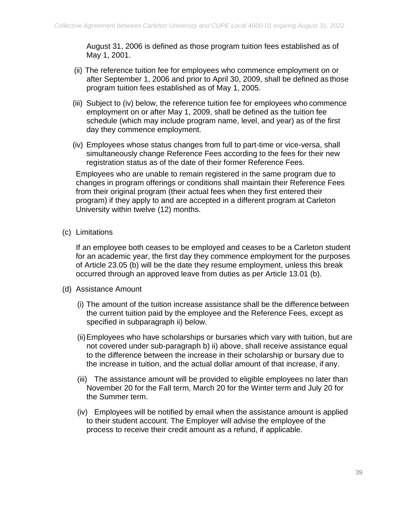August 31, 2006 is defined as those program tuition fees established as of May 1, 2001.

- (ii) The reference tuition fee for employees who commence employment on or after September 1, 2006 and prior to April 30, 2009, shall be defined as those program tuition fees established as of May 1, 2005.
- (iii) Subject to (iv) below, the reference tuition fee for employees who commence employment on or after May 1, 2009, shall be defined as the tuition fee schedule (which may include program name, level, and year) as of the first day they commence employment.
- (iv) Employees whose status changes from full to part-time or vice-versa, shall simultaneously change Reference Fees according to the fees for their new registration status as of the date of their former Reference Fees.

Employees who are unable to remain registered in the same program due to changes in program offerings or conditions shall maintain their Reference Fees from their original program (their actual fees when they first entered their program) if they apply to and are accepted in a different program at Carleton University within twelve (12) months.

(c) Limitations

If an employee both ceases to be employed and ceases to be a Carleton student for an academic year, the first day they commence employment for the purposes of Article 23.05 (b) will be the date they resume employment, unless this break occurred through an approved leave from duties as per Article 13.01 (b).

- (d) Assistance Amount
	- (i) The amount of the tuition increase assistance shall be the difference between the current tuition paid by the employee and the Reference Fees, except as specified in subparagraph ii) below.
	- (ii)Employees who have scholarships or bursaries which vary with tuition, but are not covered under sub-paragraph b) ii) above, shall receive assistance equal to the difference between the increase in their scholarship or bursary due to the increase in tuition, and the actual dollar amount of that increase, if any.
	- (iii) The assistance amount will be provided to eligible employees no later than November 20 for the Fall term, March 20 for the Winter term and July 20 for the Summer term.
	- (iv) Employees will be notified by email when the assistance amount is applied to their student account. The Employer will advise the employee of the process to receive their credit amount as a refund, if applicable.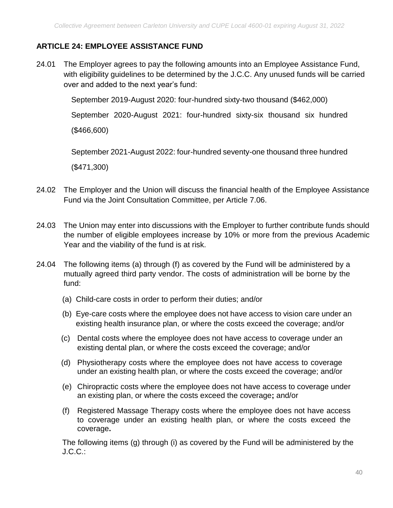## <span id="page-41-0"></span>**ARTICLE 24: EMPLOYEE ASSISTANCE FUND**

24.01 The Employer agrees to pay the following amounts into an Employee Assistance Fund, with eligibility guidelines to be determined by the J.C.C. Any unused funds will be carried over and added to the next year's fund:

September 2019-August 2020: four-hundred sixty-two thousand (\$462,000)

September 2020-August 2021: four-hundred sixty-six thousand six hundred

(\$466,600)

September 2021-August 2022: four-hundred seventy-one thousand three hundred

(\$471,300)

- 24.02 The Employer and the Union will discuss the financial health of the Employee Assistance Fund via the Joint Consultation Committee, per Article 7.06.
- 24.03 The Union may enter into discussions with the Employer to further contribute funds should the number of eligible employees increase by 10% or more from the previous Academic Year and the viability of the fund is at risk.
- 24.04 The following items (a) through (f) as covered by the Fund will be administered by a mutually agreed third party vendor. The costs of administration will be borne by the fund:
	- (a) Child-care costs in order to perform their duties; and/or
	- (b) Eye-care costs where the employee does not have access to vision care under an existing health insurance plan, or where the costs exceed the coverage; and/or
	- (c) Dental costs where the employee does not have access to coverage under an existing dental plan, or where the costs exceed the coverage; and/or
	- (d) Physiotherapy costs where the employee does not have access to coverage under an existing health plan, or where the costs exceed the coverage; and/or
	- (e) Chiropractic costs where the employee does not have access to coverage under an existing plan, or where the costs exceed the coverage**;** and/or
	- (f) Registered Massage Therapy costs where the employee does not have access to coverage under an existing health plan, or where the costs exceed the coverage**.**

The following items (g) through (i) as covered by the Fund will be administered by the J.C.C.: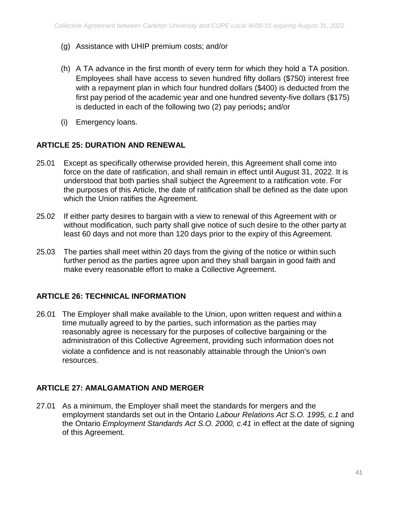- (g) Assistance with UHIP premium costs; and/or
- (h) A TA advance in the first month of every term for which they hold a TA position. Employees shall have access to seven hundred fifty dollars (\$750) interest free with a repayment plan in which four hundred dollars (\$400) is deducted from the first pay period of the academic year and one hundred seventy-five dollars (\$175) is deducted in each of the following two (2) pay periods**;** and/or
- (i) Emergency loans.

#### <span id="page-42-0"></span>**ARTICLE 25: DURATION AND RENEWAL**

- 25.01 Except as specifically otherwise provided herein, this Agreement shall come into force on the date of ratification, and shall remain in effect until August 31, 2022. It is understood that both parties shall subject the Agreement to a ratification vote. For the purposes of this Article, the date of ratification shall be defined as the date upon which the Union ratifies the Agreement.
- 25.02 If either party desires to bargain with a view to renewal of this Agreement with or without modification, such party shall give notice of such desire to the other party at least 60 days and not more than 120 days prior to the expiry of this Agreement.
- 25.03 The parties shall meet within 20 days from the giving of the notice or within such further period as the parties agree upon and they shall bargain in good faith and make every reasonable effort to make a Collective Agreement.

#### <span id="page-42-1"></span>**ARTICLE 26: TECHNICAL INFORMATION**

26.01 The Employer shall make available to the Union, upon written request and within a time mutually agreed to by the parties, such information as the parties may reasonably agree is necessary for the purposes of collective bargaining or the administration of this Collective Agreement, providing such information does not violate a confidence and is not reasonably attainable through the Union's own resources.

#### <span id="page-42-2"></span>**ARTICLE 27: AMALGAMATION AND MERGER**

27.01 As a minimum, the Employer shall meet the standards for mergers and the employment standards set out in the Ontario *Labour Relations Act S.O. 1995, c.1* and the Ontario *Employment Standards Act S.O. 2000, c.41* in effect at the date of signing of this Agreement.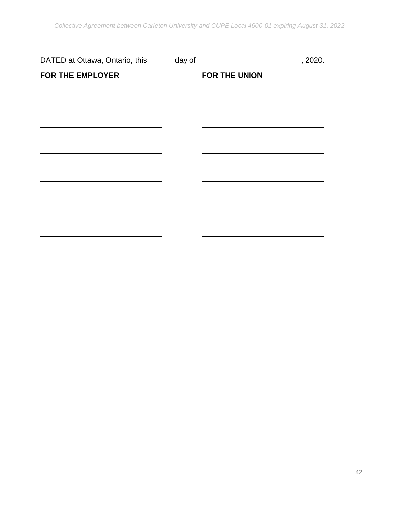<span id="page-43-0"></span>

|                         |               | $\frac{1}{2}$ 2020. |
|-------------------------|---------------|---------------------|
| <b>FOR THE EMPLOYER</b> | FOR THE UNION |                     |
|                         |               |                     |
|                         |               |                     |
|                         |               |                     |
|                         |               |                     |
|                         |               |                     |
|                         |               |                     |
|                         |               |                     |
|                         |               |                     |
|                         |               |                     |
|                         |               |                     |

 $\overline{a}$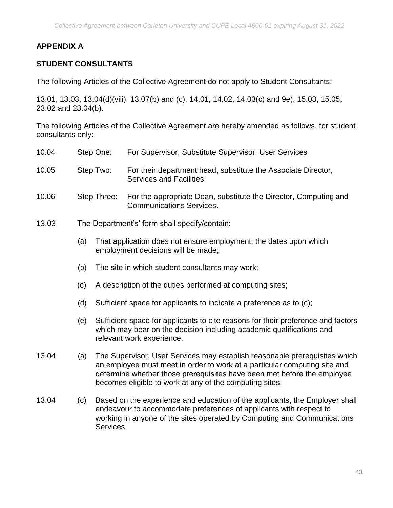## **APPENDIX A**

## **STUDENT CONSULTANTS**

The following Articles of the Collective Agreement do not apply to Student Consultants:

13.01, 13.03, 13.04(d)(viii), 13.07(b) and (c), 14.01, 14.02, 14.03(c) and 9e), 15.03, 15.05, 23.02 and 23.04(b).

The following Articles of the Collective Agreement are hereby amended as follows, for student consultants only:

| 10.04 |     | Step One:   | For Supervisor, Substitute Supervisor, User Services                                                                                                                                                                                                                                          |
|-------|-----|-------------|-----------------------------------------------------------------------------------------------------------------------------------------------------------------------------------------------------------------------------------------------------------------------------------------------|
| 10.05 |     | Step Two:   | For their department head, substitute the Associate Director,<br>Services and Facilities.                                                                                                                                                                                                     |
| 10.06 |     | Step Three: | For the appropriate Dean, substitute the Director, Computing and<br><b>Communications Services.</b>                                                                                                                                                                                           |
| 13.03 |     |             | The Department's' form shall specify/contain:                                                                                                                                                                                                                                                 |
|       | (a) |             | That application does not ensure employment; the dates upon which<br>employment decisions will be made;                                                                                                                                                                                       |
|       | (b) |             | The site in which student consultants may work;                                                                                                                                                                                                                                               |
|       | (c) |             | A description of the duties performed at computing sites;                                                                                                                                                                                                                                     |
|       | (d) |             | Sufficient space for applicants to indicate a preference as to (c);                                                                                                                                                                                                                           |
|       | (e) |             | Sufficient space for applicants to cite reasons for their preference and factors<br>which may bear on the decision including academic qualifications and<br>relevant work experience.                                                                                                         |
| 13.04 | (a) |             | The Supervisor, User Services may establish reasonable prerequisites which<br>an employee must meet in order to work at a particular computing site and<br>determine whether those prerequisites have been met before the employee<br>becomes eligible to work at any of the computing sites. |
| 13.04 | (c) |             | Based on the experience and education of the applicants, the Employer shall<br>ومراطفات والمتحاط المتمرم ألحر والمتحدث والمتحدث والمتار والمستحدث والمحارب والمناورة                                                                                                                          |

endeavour to accommodate preferences of applicants with respect to working in anyone of the sites operated by Computing and Communications Services.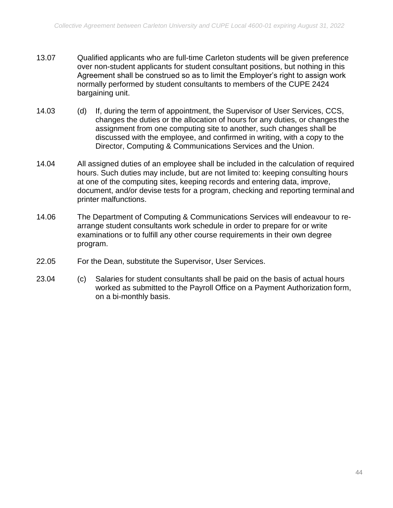- 13.07 Qualified applicants who are full-time Carleton students will be given preference over non-student applicants for student consultant positions, but nothing in this Agreement shall be construed so as to limit the Employer's right to assign work normally performed by student consultants to members of the CUPE 2424 bargaining unit.
- 14.03 (d) If, during the term of appointment, the Supervisor of User Services, CCS, changes the duties or the allocation of hours for any duties, or changes the assignment from one computing site to another, such changes shall be discussed with the employee, and confirmed in writing, with a copy to the Director, Computing & Communications Services and the Union.
- 14.04 All assigned duties of an employee shall be included in the calculation of required hours. Such duties may include, but are not limited to: keeping consulting hours at one of the computing sites, keeping records and entering data, improve, document, and/or devise tests for a program, checking and reporting terminal and printer malfunctions.
- 14.06 The Department of Computing & Communications Services will endeavour to rearrange student consultants work schedule in order to prepare for or write examinations or to fulfill any other course requirements in their own degree program.
- 22.05 For the Dean, substitute the Supervisor, User Services.
- 23.04 (c) Salaries for student consultants shall be paid on the basis of actual hours worked as submitted to the Payroll Office on a Payment Authorization form, on a bi-monthly basis.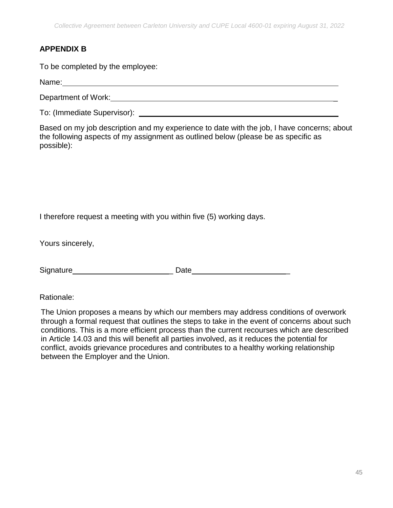## <span id="page-46-0"></span>**APPENDIX B**

To be completed by the employee:

Name:

Department of Work: **Example 2018** 

To: (Immediate Supervisor):

Based on my job description and my experience to date with the job, I have concerns; about the following aspects of my assignment as outlined below (please be as specific as possible):

I therefore request a meeting with you within five (5) working days.

Yours sincerely,

Signature **Example 2018** Date **Date Date** 

Rationale:

The Union proposes a means by which our members may address conditions of overwork through a formal request that outlines the steps to take in the event of concerns about such conditions. This is a more efficient process than the current recourses which are described in Article 14.03 and this will benefit all parties involved, as it reduces the potential for conflict, avoids grievance procedures and contributes to a healthy working relationship between the Employer and the Union.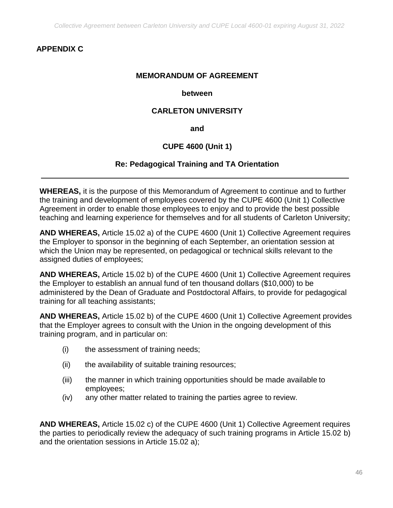## <span id="page-47-0"></span>**APPENDIX C**

#### **MEMORANDUM OF AGREEMENT**

#### **between**

#### **CARLETON UNIVERSITY**

**and**

#### **CUPE 4600 (Unit 1)**

#### **Re: Pedagogical Training and TA Orientation**

**WHEREAS,** it is the purpose of this Memorandum of Agreement to continue and to further the training and development of employees covered by the CUPE 4600 (Unit 1) Collective Agreement in order to enable those employees to enjoy and to provide the best possible teaching and learning experience for themselves and for all students of Carleton University;

**AND WHEREAS,** Article 15.02 a) of the CUPE 4600 (Unit 1) Collective Agreement requires the Employer to sponsor in the beginning of each September, an orientation session at which the Union may be represented, on pedagogical or technical skills relevant to the assigned duties of employees;

**AND WHEREAS,** Article 15.02 b) of the CUPE 4600 (Unit 1) Collective Agreement requires the Employer to establish an annual fund of ten thousand dollars (\$10,000) to be administered by the Dean of Graduate and Postdoctoral Affairs, to provide for pedagogical training for all teaching assistants;

**AND WHEREAS,** Article 15.02 b) of the CUPE 4600 (Unit 1) Collective Agreement provides that the Employer agrees to consult with the Union in the ongoing development of this training program, and in particular on:

- (i) the assessment of training needs;
- (ii) the availability of suitable training resources;
- (iii) the manner in which training opportunities should be made available to employees;
- (iv) any other matter related to training the parties agree to review.

**AND WHEREAS,** Article 15.02 c) of the CUPE 4600 (Unit 1) Collective Agreement requires the parties to periodically review the adequacy of such training programs in Article 15.02 b) and the orientation sessions in Article 15.02 a);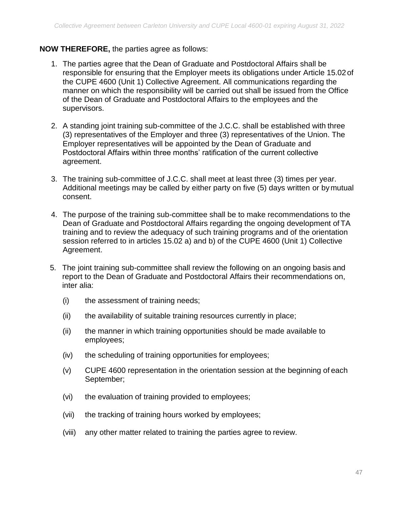#### **NOW THEREFORE,** the parties agree as follows:

- 1. The parties agree that the Dean of Graduate and Postdoctoral Affairs shall be responsible for ensuring that the Employer meets its obligations under Article 15.02of the CUPE 4600 (Unit 1) Collective Agreement. All communications regarding the manner on which the responsibility will be carried out shall be issued from the Office of the Dean of Graduate and Postdoctoral Affairs to the employees and the supervisors.
- 2. A standing joint training sub-committee of the J.C.C. shall be established with three (3) representatives of the Employer and three (3) representatives of the Union. The Employer representatives will be appointed by the Dean of Graduate and Postdoctoral Affairs within three months' ratification of the current collective agreement.
- 3. The training sub-committee of J.C.C. shall meet at least three (3) times per year. Additional meetings may be called by either party on five (5) days written or by mutual consent.
- 4. The purpose of the training sub-committee shall be to make recommendations to the Dean of Graduate and Postdoctoral Affairs regarding the ongoing development of TA training and to review the adequacy of such training programs and of the orientation session referred to in articles 15.02 a) and b) of the CUPE 4600 (Unit 1) Collective Agreement.
- 5. The joint training sub-committee shall review the following on an ongoing basis and report to the Dean of Graduate and Postdoctoral Affairs their recommendations on, inter alia:
	- (i) the assessment of training needs;
	- (ii) the availability of suitable training resources currently in place;
	- (ii) the manner in which training opportunities should be made available to employees;
	- (iv) the scheduling of training opportunities for employees;
	- (v) CUPE 4600 representation in the orientation session at the beginning of each September;
	- (vi) the evaluation of training provided to employees;
	- (vii) the tracking of training hours worked by employees;
	- (viii) any other matter related to training the parties agree to review.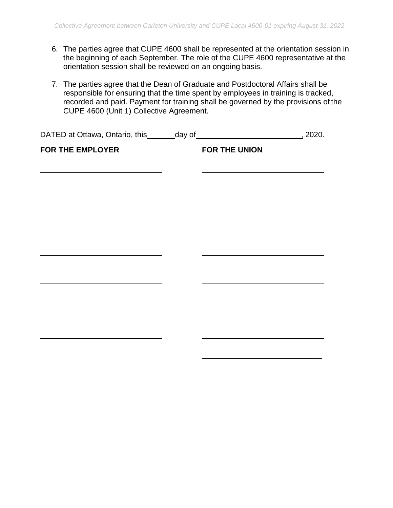- 6. The parties agree that CUPE 4600 shall be represented at the orientation session in the beginning of each September. The role of the CUPE 4600 representative at the orientation session shall be reviewed on an ongoing basis.
- 7. The parties agree that the Dean of Graduate and Postdoctoral Affairs shall be responsible for ensuring that the time spent by employees in training is tracked, recorded and paid. Payment for training shall be governed by the provisions of the CUPE 4600 (Unit 1) Collective Agreement.

| <b>FOR THE EMPLOYER</b> | FOR THE UNION                                                                             |  |
|-------------------------|-------------------------------------------------------------------------------------------|--|
|                         |                                                                                           |  |
|                         |                                                                                           |  |
|                         | the control of the control of the control of the control of the control of the control of |  |
|                         |                                                                                           |  |
|                         |                                                                                           |  |
|                         |                                                                                           |  |
|                         |                                                                                           |  |
|                         |                                                                                           |  |
|                         |                                                                                           |  |
|                         |                                                                                           |  |
|                         |                                                                                           |  |
|                         |                                                                                           |  |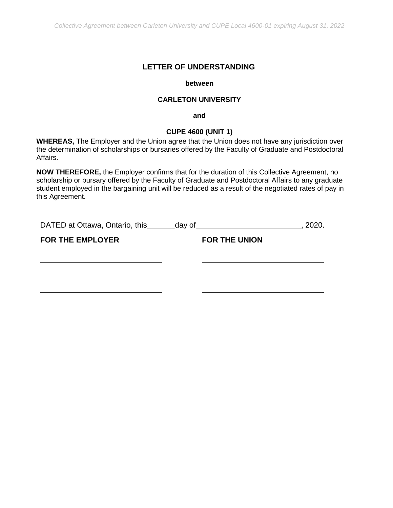#### **LETTER OF UNDERSTANDING**

#### **between**

#### **CARLETON UNIVERSITY**

**and**

#### **CUPE 4600 (UNIT 1)**

<span id="page-50-0"></span>**WHEREAS,** The Employer and the Union agree that the Union does not have any jurisdiction over the determination of scholarships or bursaries offered by the Faculty of Graduate and Postdoctoral Affairs.

**NOW THEREFORE,** the Employer confirms that for the duration of this Collective Agreement, no scholarship or bursary offered by the Faculty of Graduate and Postdoctoral Affairs to any graduate student employed in the bargaining unit will be reduced as a result of the negotiated rates of pay in this Agreement.

| DATED at Ottawa, Ontario, this | day of               | 2020. |
|--------------------------------|----------------------|-------|
| <b>FOR THE EMPLOYER</b>        | <b>FOR THE UNION</b> |       |
|                                |                      |       |
|                                |                      |       |
|                                |                      |       |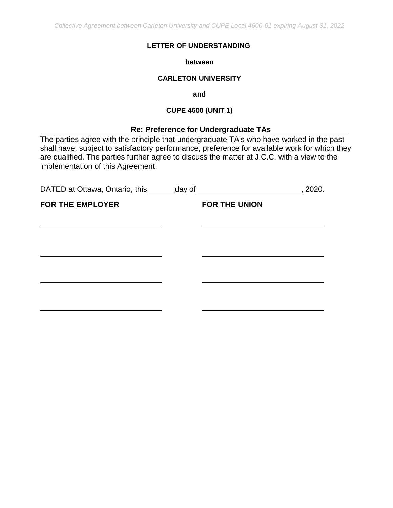*Collective Agreement between Carleton University and CUPE Local 4600-01 expiring August 31, 2022*

#### **LETTER OF UNDERSTANDING**

**between** 

#### **CARLETON UNIVERSITY**

**and**

#### **CUPE 4600 (UNIT 1)**

#### **Re: Preference for Undergraduate TAs**

<span id="page-51-0"></span>The parties agree with the principle that undergraduate TA's who have worked in the past shall have, subject to satisfactory performance, preference for available work for which they are qualified. The parties further agree to discuss the matter at J.C.C. with a view to the implementation of this Agreement.

| DATED at Ottawa, Ontario, this _______ day of |                      | 2020. |
|-----------------------------------------------|----------------------|-------|
| <b>FOR THE EMPLOYER</b>                       | <b>FOR THE UNION</b> |       |
|                                               |                      |       |
|                                               |                      |       |
|                                               |                      |       |
|                                               |                      |       |
|                                               |                      |       |
|                                               |                      |       |
|                                               |                      |       |